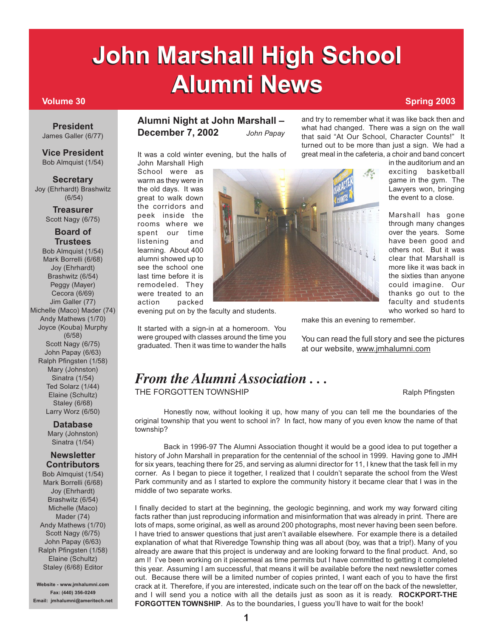# **John Marshall High School John Marshall High School Alumni News Spring 2003**

**President** James Galler (6/77)

**Vice President** Bob Almquist (1/54)

#### **Secretary**

Joy (Ehrhardt) Brashwitz (6/54)

> **Treasurer** Scott Nagy (6/75)

#### **Board of Trustees**

Bob Almquist (1/54) Mark Borrelli (6/68) Joy (Ehrhardt) Brashwitz (6/54) Peggy (Mayer) Cecora (6/69) Jim Galler (77) Michelle (Maco) Mader (74) Andy Mathews (1/70) Joyce (Kouba) Murphy (6/58) Scott Nagy (6/75) John Papay (6/63) Ralph Pfingsten (1/58) Mary (Johnston) Sinatra (1/54) Ted Solarz (1/44) Elaine (Schultz) Staley (6/68) Larry Worz (6/50)

> **Database** Mary (Johnston) Sinatra (1/54)

### **Newsletter Contributors**

Bob Almquist (1/54) Mark Borrelli (6/68) Joy (Ehrhardt) Brashwitz (6/54) Michelle (Maco) Mader (74) Andy Mathews (1/70) Scott Nagy (6/75) John Papay (6/63) Ralph Pfingsten (1/58) Elaine (Schultz) Staley (6/68) Editor

**Website - www.jmhalumni.com Fax: (440) 356-0249 Email: jmhalumni@ameritech.net**

## **Alumni Night at John Marshall – December 7, 2002** *John Papay*

It was a cold winter evening, but the halls of John Marshall High

School were as warm as they were in the old days. It was great to walk down the corridors and peek inside the rooms where we spent our time listening and learning. About 400 alumni showed up to see the school one last time before it is remodeled. They were treated to an action packed

evening put on by the faculty and students.

It started with a sign-in at a homeroom. You were grouped with classes around the time you graduated. Then it was time to wander the halls

and try to remember what it was like back then and what had changed. There was a sign on the wall that said "At Our School, Character Counts!" It turned out to be more than just a sign. We had a great meal in the cafeteria, a choir and band concert

> in the auditorium and an exciting basketball game in the gym. The Lawyers won, bringing the event to a close.

> Marshall has gone through many changes over the years. Some have been good and others not. But it was clear that Marshall is more like it was back in the sixties than anyone could imagine. Our thanks go out to the faculty and students who worked so hard to

make this an evening to remember.

You can read the full story and see the pictures at our website, www.jmhalumni.com

# *From the Alumni Association . . .*

THE FORGOTTEN TOWNSHIP **Ralph Pfingsten** Ralph Pfingsten

Honestly now, without looking it up, how many of you can tell me the boundaries of the original township that you went to school in? In fact, how many of you even know the name of that township?

Back in 1996-97 The Alumni Association thought it would be a good idea to put together a history of John Marshall in preparation for the centennial of the school in 1999. Having gone to JMH for six years, teaching there for 25, and serving as alumni director for 11, I knew that the task fell in my corner. As I began to piece it together, I realized that I couldn't separate the school from the West Park community and as I started to explore the community history it became clear that I was in the middle of two separate works.

I finally decided to start at the beginning, the geologic beginning, and work my way forward citing facts rather than just reproducing information and misinformation that was already in print. There are lots of maps, some original, as well as around 200 photographs, most never having been seen before. I have tried to answer questions that just aren't available elsewhere. For example there is a detailed explanation of what that Riveredge Township thing was all about (boy, was that a trip!). Many of you already are aware that this project is underway and are looking forward to the final product. And, so am I! I've been working on it piecemeal as time permits but I have committed to getting it completed this year. Assuming I am successful, that means it will be available before the next newsletter comes out. Because there will be a limited number of copies printed, I want each of you to have the first crack at it. Therefore, if you are interested, indicate such on the tear off on the back of the newsletter, and I will send you a notice with all the details just as soon as it is ready. **ROCKPORT-THE FORGOTTEN TOWNSHIP.** As to the boundaries, I guess you'll have to wait for the book!

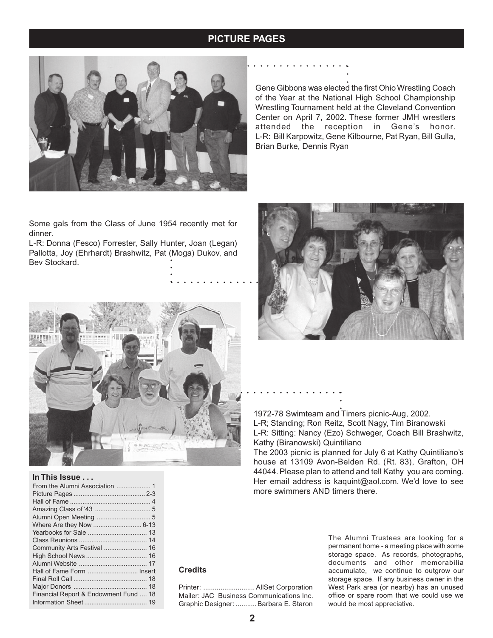## **JOHN MARSHALL HIGH SCHOOL ALUMNI NEWSLET ALUMNI NEWSLET ALUMNI NEWSLET ALUMNI NEWSLET ALUMNI NEWSLET ALU**



Gene Gibbons was elected the first Ohio Wrestling Coach of the Year at the National High School Championship Wrestling Tournament held at the Cleveland Convention Center on April 7, 2002. These former JMH wrestlers attended the reception in Gene's honor. L-R: Bill Karpowitz, Gene Kilbourne, Pat Ryan, Bill Gulla, Brian Burke, Dennis Ryan

Some gals from the Class of June 1954 recently met for dinner.

•<br>•<br>• • • • • • • • • • • • • • • L-R: Donna (Fesco) Forrester, Sally Hunter, Joan (Legan) Pallotta, Joy (Ehrhardt) Brashwitz, Pat (Moga) Dukov, and Bev Stockard.



#### **In This Issue . . .**

| Hall of Fame Form  Insert             |
|---------------------------------------|
|                                       |
|                                       |
| Financial Report & Endowment Fund  18 |
|                                       |



1972-78 Swimteam and Timers picnic-Aug, 2002. L-R; Standing; Ron Reitz, Scott Nagy, Tim Biranowski L-R: Sitting: Nancy (Ezo) Schweger, Coach Bill Brashwitz, Kathy (Biranowski) Quintiliano ○○○ ○○○○○○○○○○○○○○○○

The 2003 picnic is planned for July 6 at Kathy Quintiliano's house at 13109 Avon-Belden Rd. (Rt. 83), Grafton, OH 44044. Please plan to attend and tell Kathy you are coming. Her email address is kaquint@aol.com. We'd love to see more swimmers AND timers there.

## **Credits**

Printer: ........................... AllSet Corporation Mailer: JAC Business Communications Inc. Graphic Designer: ...........Barbara E. Staron

The Alumni Trustees are looking for a permanent home - a meeting place with some storage space. As records, photographs, documents and other memorabilia accumulate, we continue to outgrow our storage space. If any business owner in the West Park area (or nearby) has an unused office or spare room that we could use we would be most appreciative.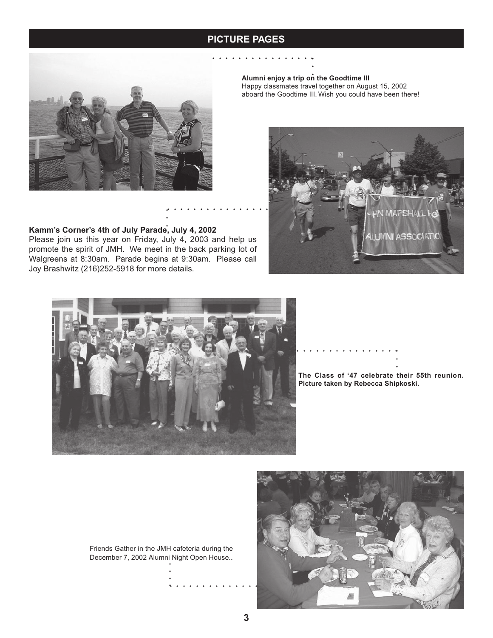## **John Marshall PICTURE PAGES PICTURE ISSUE ALUMNI NEWS**



#### **Alumni enjoy a trip on the Goodtime III**

Happy classmates travel together on August 15, 2002 aboard the Goodtime III. Wish you could have been there!



# promote the spirit of JMH. We meet in the back parking lot of

**Kamm's Corner's 4th of July Parade, July 4, 2002**

Walgreens at 8:30am. Parade begins at 9:30am. Please call Joy Brashwitz (216)252-5918 for more details.

Please join us this year on Friday, July 4, 2003 and help us



**The Class of '47 celebrate their 55th reunion. Picture taken by Rebecca Shipkoski.** ○ ・・・・・・・・・・・・・・・・<br>.<br>.

Friends Gather in the JMH cafeteria during the December 7, 2002 Alumni Night Open House..

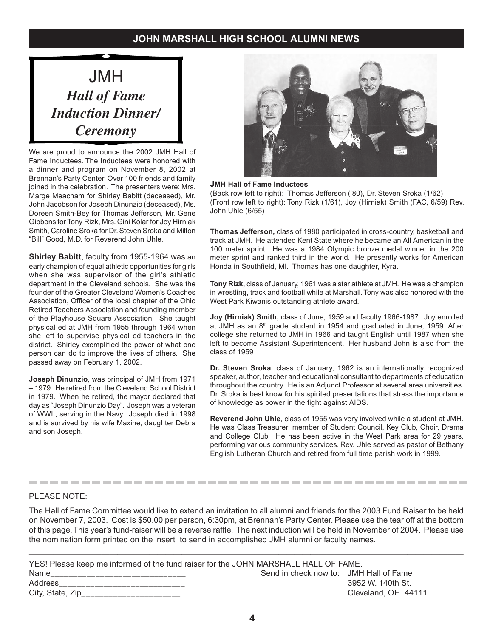# JMH *Hall of Fame Induction Dinner/ Ceremony*

We are proud to announce the 2002 JMH Hall of Fame Inductees. The Inductees were honored with a dinner and program on November 8, 2002 at Brennan's Party Center. Over 100 friends and family joined in the celebration. The presenters were: Mrs. Marge Meacham for Shirley Babitt (deceased), Mr. John Jacobson for Joseph Dinunzio (deceased), Ms. Doreen Smith-Bey for Thomas Jefferson, Mr. Gene Gibbons for Tony Rizk, Mrs. Gini Kolar for Joy Hirniak Smith, Caroline Sroka for Dr. Steven Sroka and Milton "Bill" Good, M.D. for Reverend John Uhle.

**Shirley Babitt**, faculty from 1955-1964 was an early champion of equal athletic opportunities for girls when she was supervisor of the girl's athletic department in the Cleveland schools. She was the founder of the Greater Cleveland Women's Coaches Association, Officer of the local chapter of the Ohio Retired Teachers Association and founding member of the Playhouse Square Association. She taught physical ed at JMH from 1955 through 1964 when she left to supervise physical ed teachers in the district. Shirley exemplified the power of what one person can do to improve the lives of others. She passed away on February 1, 2002.

**Joseph Dinunzio**, was principal of JMH from 1971 – 1979. He retired from the Cleveland School District in 1979. When he retired, the mayor declared that day as "Joseph Dinunzio Day". Joseph was a veteran of WWII, serving in the Navy. Joseph died in 1998 and is survived by his wife Maxine, daughter Debra and son Joseph.



#### **JMH Hall of Fame Inductees**

(Back row left to right): Thomas Jefferson ('80), Dr. Steven Sroka (1/62) (Front row left to right): Tony Rizk (1/61), Joy (Hirniak) Smith (FAC, 6/59) Rev. John Uhle (6/55)

**Thomas Jefferson,** class of 1980 participated in cross-country, basketball and track at JMH. He attended Kent State where he became an All American in the 100 meter sprint. He was a 1984 Olympic bronze medal winner in the 200 meter sprint and ranked third in the world. He presently works for American Honda in Southfield, MI. Thomas has one daughter, Kyra.

**Tony Rizk,** class of January, 1961 was a star athlete at JMH. He was a champion in wrestling, track and football while at Marshall. Tony was also honored with the West Park Kiwanis outstanding athlete award.

**Joy (Hirniak) Smith,** class of June, 1959 and faculty 1966-1987. Joy enrolled at JMH as an 8<sup>th</sup> grade student in 1954 and graduated in June, 1959. After college she returned to JMH in 1966 and taught English until 1987 when she left to become Assistant Superintendent. Her husband John is also from the class of 1959

**Dr. Steven Sroka**, class of January, 1962 is an internationally recognized speaker, author, teacher and educational consultant to departments of education throughout the country. He is an Adjunct Professor at several area universities. Dr. Sroka is best know for his spirited presentations that stress the importance of knowledge as power in the fight against AIDS.

**Reverend John Uhle**, class of 1955 was very involved while a student at JMH. He was Class Treasurer, member of Student Council, Key Club, Choir, Drama and College Club. He has been active in the West Park area for 29 years, performing various community services. Rev. Uhle served as pastor of Bethany English Lutheran Church and retired from full time parish work in 1999.

#### PLEASE NOTE:

The Hall of Fame Committee would like to extend an invitation to all alumni and friends for the 2003 Fund Raiser to be held on November 7, 2003. Cost is \$50.00 per person, 6:30pm, at Brennan's Party Center. Please use the tear off at the bottom of this page. This year's fund-raiser will be a reverse raffle. The next induction will be held in November of 2004. Please use the nomination form printed on the insert to send in accomplished JMH alumni or faculty names.

——————————————————————————————————————————————————————

| YES! Please keep me informed of the fund raiser for the JOHN MARSHALL HALL OF FAME. |                                        |                     |
|-------------------------------------------------------------------------------------|----------------------------------------|---------------------|
| Name                                                                                | Send in check now to: JMH Hall of Fame |                     |
| Address                                                                             |                                        | 3952 W. 140th St.   |
| City, State, $Zip$ <sub>______</sub>                                                |                                        | Cleveland, OH 44111 |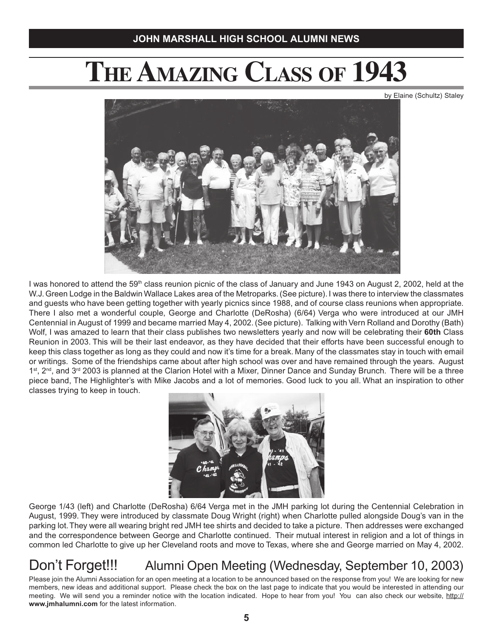# **THE AMAZING CLASS OF 1943**

by Elaine (Schultz) Staley



I was honored to attend the 59<sup>th</sup> class reunion picnic of the class of January and June 1943 on August 2, 2002, held at the W.J.Green Lodge in the Baldwin Wallace Lakes area of the Metroparks. (See picture). I was there to interview the classmates and guests who have been getting together with yearly picnics since 1988, and of course class reunions when appropriate. There I also met a wonderful couple, George and Charlotte (DeRosha) (6/64) Verga who were introduced at our JMH Centennial in August of 1999 and became married May 4, 2002. (See picture). Talking with Vern Rolland and Dorothy (Bath) Wolf, I was amazed to learn that their class publishes two newsletters yearly and now will be celebrating their **60th** Class Reunion in 2003. This will be their last endeavor, as they have decided that their efforts have been successful enough to keep this class together as long as they could and now it's time for a break. Many of the classmates stay in touch with email or writings. Some of the friendships came about after high school was over and have remained through the years. August  $1<sup>st</sup>$ ,  $2<sup>nd</sup>$ , and  $3<sup>rd</sup>$  2003 is planned at the Clarion Hotel with a Mixer, Dinner Dance and Sunday Brunch. There will be a three piece band, The Highlighter's with Mike Jacobs and a lot of memories. Good luck to you all. What an inspiration to other classes trying to keep in touch.



George 1/43 (left) and Charlotte (DeRosha) 6/64 Verga met in the JMH parking lot during the Centennial Celebration in August, 1999. They were introduced by classmate Doug Wright (right) when Charlotte pulled alongside Doug's van in the parking lot. They were all wearing bright red JMH tee shirts and decided to take a picture. Then addresses were exchanged and the correspondence between George and Charlotte continued. Their mutual interest in religion and a lot of things in common led Charlotte to give up her Cleveland roots and move to Texas, where she and George married on May 4, 2002.

# Don't Forget!!! Alumni Open Meeting (Wednesday, September 10, 2003)

Please join the Alumni Association for an open meeting at a location to be announced based on the response from you! We are looking for new members, new ideas and additional support. Please check the box on the last page to indicate that you would be interested in attending our meeting. We will send you a reminder notice with the location indicated. Hope to hear from you! You can also check our website, http:// **www.jmhalumni.com** for the latest information.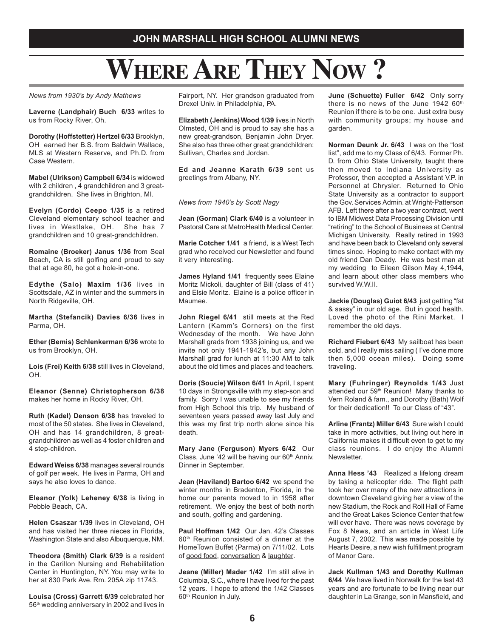# **WHERE ARE THEY NOW ?**

*News from 1930's by Andy Mathews*

**Laverne (Landphair) Buch 6/33** writes to us from Rocky River, Oh.

**Dorothy (Hoffstetter) Hertzel 6/33** Brooklyn, OH earned her B.S. from Baldwin Wallace, MLS at Western Reserve, and Ph.D. from Case Western.

**Mabel (Ulrikson) Campbell 6/34** is widowed with 2 children , 4 grandchildren and 3 greatgrandchildren. She lives in Brighton, MI.

**Evelyn (Cordo) Ceepo 1/35** is a retired Cleveland elementary school teacher and lives in Westlake, OH. She has 7 grandchildren and 10 great-grandchildren.

**Romaine (Broeker) Janus 1/36** from Seal Beach, CA is still golfing and proud to say that at age 80, he got a hole-in-one.

**Edythe (Salo) Maxim 1/36** lives in Scottsdale, AZ in winter and the summers in North Ridgeville, OH.

**Martha (Stefancik) Davies 6/36** lives in Parma, OH.

**Ether (Bemis) Schlenkerman 6/36** wrote to us from Brooklyn, OH.

**Lois (Frei) Keith 6/38** still lives in Cleveland, OH.

**Eleanor (Senne) Christopherson 6/38** makes her home in Rocky River, OH.

**Ruth (Kadel) Denson 6/38** has traveled to most of the 50 states. She lives in Cleveland, OH and has 14 grandchildren, 8 greatgrandchildren as well as 4 foster children and 4 step-children.

**Edward Weiss 6/38** manages several rounds of golf per week. He lives in Parma, OH and says he also loves to dance.

**Eleanor (Yolk) Leheney 6/38** is living in Pebble Beach, CA.

**Helen Csaszar 1/39** lives in Cleveland, OH and has visited her three nieces in Florida, Washington State and also Albuquerque, NM.

**Theodora (Smith) Clark 6/39** is a resident in the Carillon Nursing and Rehabilitation Center in Huntington, NY. You may write to her at 830 Park Ave. Rm. 205A zip 11743.

**Louisa (Cross) Garrett 6/39** celebrated her 56<sup>th</sup> wedding anniversary in 2002 and lives in

Fairport, NY. Her grandson graduated from Drexel Univ. in Philadelphia, PA.

**Elizabeth (Jenkins) Wood 1/39** lives in North Olmsted, OH and is proud to say she has a new great-grandson, Benjamin John Dryer. She also has three other great grandchildren: Sullivan, Charles and Jordan.

**Ed and Jeanne Karath 6/39** sent us greetings from Albany, NY.

*News from 1940's by Scott Nagy*

**Jean (Gorman) Clark 6/40** is a volunteer in Pastoral Care at MetroHealth Medical Center.

**Marie Cotcher 1/41** a friend, is a West Tech grad who received our Newsletter and found it very interesting.

**James Hyland 1/41** frequently sees Elaine Moritz Mickoli, daughter of Bill (class of 41) and Elsie Moritz. Elaine is a police officer in Maumee.

**John Riegel 6/41** still meets at the Red Lantern (Kamm's Corners) on the first Wednesday of the month. We have John Marshall grads from 1938 joining us, and we invite not only 1941-1942's, but any John Marshall grad for lunch at 11:30 AM to talk about the old times and places and teachers.

**Doris (Soucie) Wilson 6/41** In April, I spent 10 days in Strongsville with my step-son and family. Sorry I was unable to see my friends from High School this trip. My husband of seventeen years passed away last July and this was my first trip north alone since his death.

**Mary Jane (Ferguson) Myers 6/42** Our Class, June '42 will be having our 60<sup>th</sup> Anniv. Dinner in September.

**Jean (Haviland) Bartoo 6/42** we spend the winter months in Bradenton, Florida, in the home our parents moved to in 1958 after retirement. We enjoy the best of both north and south, golfing and gardening.

**Paul Hoffman 1/42** Our Jan. 42's Classes 60th Reunion consisted of a dinner at the HomeTown Buffet (Parma) on 7/11/02. Lots of good food, conversation & laughter.

**Jeane (Miller) Mader 1/42** I'm still alive in Columbia, S.C., where I have lived for the past 12 years. I hope to attend the 1/42 Classes 60<sup>th</sup> Reunion in July.

**June (Schuette) Fuller 6/42** Only sorry there is no news of the June  $194260$ <sup>th</sup> Reunion if there is to be one. Just extra busy with community groups; my house and garden.

**Norman Deunk Jr. 6/43** I was on the "lost list", add me to my Class of 6/43. Former Ph. D. from Ohio State University, taught there then moved to Indiana University as Professor, then accepted a Assistant V.P. in Personnel at Chrysler. Returned to Ohio State University as a contractor to support the Gov. Services Admin. at Wright-Patterson AFB. Left there after a two year contract, went to IBM Midwest Data Processing Division until "retiring" to the School of Business at Central Michigan University. Really retired in 1993 and have been back to Cleveland only several times since. Hoping to make contact with my old friend Dan Deady. He was best man at my wedding to Eileen Gilson May 4,1944, and learn about other class members who survived W.W.II.

**Jackie (Douglas) Guiot 6/43** just getting "fat & sassy" in our old age. But in good health. Loved the photo of the Rini Market. I remember the old days.

**Richard Fiebert 6/43** My sailboat has been sold, and I really miss sailing ( I've done more then 5,000 ocean miles). Doing some traveling.

**Mary (Fuhringer) Reynolds 1/43** Just attended our 59<sup>th</sup> Reunion! Many thanks to Vern Roland & fam., and Dorothy (Bath) Wolf for their dedication!! To our Class of "43".

**Arline (Frantz) Miller 6/43** Sure wish I could take in more activities, but living out here in California makes it difficult even to get to my class reunions. I do enjoy the Alumni Newsletter.

**Anna Hess '43** Realized a lifelong dream by taking a helicopter ride. The flight path took her over many of the new attractions in downtown Cleveland giving her a view of the new Stadium, the Rock and Roll Hall of Fame and the Great Lakes Science Center that few will ever have. There was news coverage by Fox 8 News, and an article in West Life August 7, 2002. This was made possible by Hearts Desire, a new wish fulfillment program of Manor Care.

**Jack Kullman 1/43 and Dorothy Kullman 6/44** We have lived in Norwalk for the last 43 years and are fortunate to be living near our daughter in La Grange, son in Mansfield, and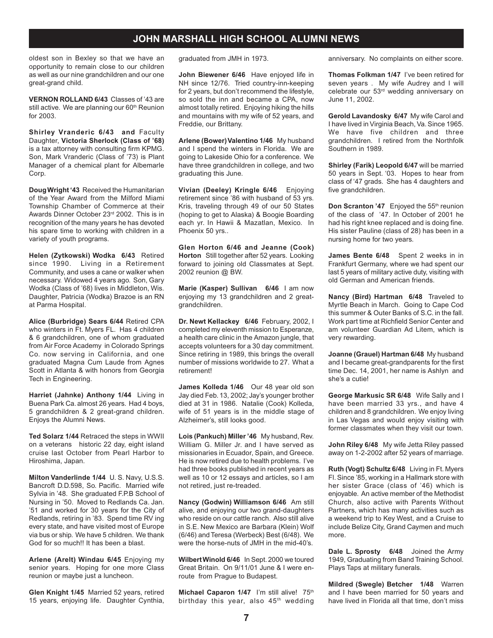oldest son in Bexley so that we have an opportunity to remain close to our children as well as our nine grandchildren and our one great-grand child.

**VERNON ROLLAND 6/43** Classes of '43 are still active. We are planning our 60<sup>th</sup> Reunion for 2003.

**Shirley Vranderic 6/43 and Faculty** Daughter, **Victoria Sherlock (Class of '68)** is a tax attorney with consulting firm KPMG. Son, Mark Vranderic (Class of '73) is Plant Manager of a chemical plant for Albemarle Corp.

**Doug Wright '43** Received the Humanitarian of the Year Award from the Milford Miami Township Chamber of Commerce at their Awards Dinner October 23rd 2002. This is in recognition of the many years he has devoted his spare time to working with children in a variety of youth programs.

**Helen (Zytkowski) Wodka 6/43** Retired since 1990. Living in a Retirement Community, and uses a cane or walker when necessary. Widowed 4 years ago. Son, Gary Wodka (Class of '68) lives in Middleton, Wis. Daughter, Patricia (Wodka) Brazoe is an RN at Parma Hospital.

**Alice (Burbridge) Sears 6/44** Retired CPA who winters in Ft. Myers FL. Has 4 children & 6 grandchildren, one of whom graduated from Air Force Academy in Colorado Springs Co. now serving in California, and one graduated Magna Cum Laude from Agnes Scott in Atlanta & with honors from Georgia Tech in Engineering.

**Harriet (Jahnke) Anthony 1/44** Living in Buena Park Ca. almost 26 years. Had 4 boys, 5 grandchildren & 2 great-grand children. Enjoys the Alumni News.

**Ted Solarz 1/44** Retraced the steps in WWII on a veterans historic 22 day, eight island cruise last October from Pearl Harbor to Hiroshima, Japan.

**Milton Vanderlinde 1/44** U. S. Navy, U.S.S. Bancroft D.D.598, So. Pacific. Married wife Sylvia in '48. She graduated F.P.B School of Nursing in '50. Moved to Redlands Ca. Jan. '51 and worked for 30 years for the City of Redlands, retiring in '83. Spend time RV ing every state, and have visited most of Europe via bus or ship. We have 5 children. We thank God for so much!! It has been a blast.

**Arlene (Arelt) Windau 6/45** Enjoying my senior years. Hoping for one more Class reunion or maybe just a luncheon.

**Glen Knight 1/45** Married 52 years, retired 15 years, enjoying life. Daughter Cynthia,

graduated from JMH in 1973.

**John Biewener 6/46** Have enjoyed life in NH since 12/76. Tried country-inn-keeping for 2 years, but don't recommend the lifestyle, so sold the inn and became a CPA, now almost totally retired. Enjoying hiking the hills and mountains with my wife of 52 years, and Freddie, our Brittany.

**Arlene (Bower) Valentino 1/46** My husband and I spend the winters in Florida. We are going to Lakeside Ohio for a conference. We have three grandchildren in college, and two graduating this June.

**Vivian (Deeley) Kringle 6/46** Enjoying retirement since '86 with husband of 53 yrs. Kris, traveling through 49 of our 50 States (hoping to get to Alaska) & Boogie Boarding each yr. In Hawii & Mazatlan, Mexico. In Phoenix 50 yrs..

**Glen Horton 6/46 and Jeanne (Cook) Horton** Still together after 52 years. Looking forward to joining old Classmates at Sept. 2002 reunion @ BW.

**Marie (Kasper) Sullivan 6/46** I am now enjoying my 13 grandchildren and 2 greatgrandchildren.

**Dr. Newt Kellackey 6/46** February, 2002, I completed my eleventh mission to Esperanze, a health care clinic in the Amazon jungle, that accepts volunteers for a 30 day commitment. Since retiring in 1989, this brings the overall number of missions worldwide to 27. What a retirement!

**James Kolleda 1/46** Our 48 year old son Jay died Feb. 13, 2002; Jay's younger brother died at 31 in 1986. Natalie (Cook) Kolleda, wife of 51 years is in the middle stage of Alzheimer's, still looks good.

**Lois (Pankuch) Miller '46** My husband, Rev. William G. Miller Jr. and I have served as missionaries in Ecuador, Spain, and Greece. He is now retired due to health problems. I've had three books published in recent years as well as 10 or 12 essays and articles, so I am not retired, just re-treaded.

**Nancy (Godwin) Williamson 6/46** Am still alive, and enjoying our two grand-daughters who reside on our cattle ranch. Also still alive in S.E. New Mexico are Barbara (Klein) Wolf (6/46) and Teresa (Werbeck) Best (6/48). We were the horse-nuts of JMH in the mid-40's.

**Wilbert Winold 6/46** In Sept. 2000 we toured Great Britain. On 9/11/01 June & I were enroute from Prague to Budapest.

Michael Caparon 1/47 I'm still alive! 75<sup>th</sup> birthday this year, also 45<sup>th</sup> wedding anniversary. No complaints on either score.

**Thomas Folkman 1/47** I've been retired for seven years . My wife Audrey and I will celebrate our 53rd wedding anniversary on June 11, 2002.

**Gerold Lavandosky 6/47** My wife Carol and I have lived in Virginia Beach, Va. Since 1965. We have five children and three grandchildren. I retired from the Northfolk Southern in 1989.

**Shirley (Farik) Leopold 6/47** will be married 50 years in Sept. '03. Hopes to hear from class of '47 grads. She has 4 daughters and five grandchildren.

**Don Scranton '47** Enjoyed the 55<sup>th</sup> reunion of the class of '47. In October of 2001 he had his right knee replaced and is doing fine. His sister Pauline (class of 28) has been in a nursing home for two years.

**James Bente 6/48** Spent 2 weeks in in Frankfurt Germany, where we had spent our last 5 years of military active duty, visiting with old German and American friends.

**Nancy (Bird) Hartman 6/48** Traveled to Myrtle Beach in March. Going to Cape Cod this summer & Outer Banks of S.C. in the fall. Work part time at Richfield Senior Center and am volunteer Guardian Ad Litem, which is very rewarding.

**Joanne (Grauel) Hartman 6/48** My husband and I became great-grandparents for the first time Dec. 14, 2001, her name is Ashlyn and she's a cutie!

**George Markusic SR 6/48** Wife Sally and I have been married 33 yrs., and have 4 children and 8 grandchildren. We enjoy living in Las Vegas and would enjoy visiting with former classmates when they visit our town.

**John Riley 6/48** My wife Jetta Riley passed away on 1-2-2002 after 52 years of marriage.

**Ruth (Vogt) Schultz 6/48** Living in Ft. Myers Fl. Since '85, working in a Hallmark store with her sister Grace (class of '46) which is enjoyable. An active member of the Methodist Church, also active with Parents Without Partners, which has many activities such as a weekend trip to Key West, and a Cruise to include Belize City, Grand Caymen and much more.

**Dale L. Sprosty 6/48** Joined the Army 1949, Graduating from Band Training School. Plays Taps at military funerals.

**Mildred (Swegle) Betcher 1/48** Warren and I have been married for 50 years and have lived in Florida all that time, don't miss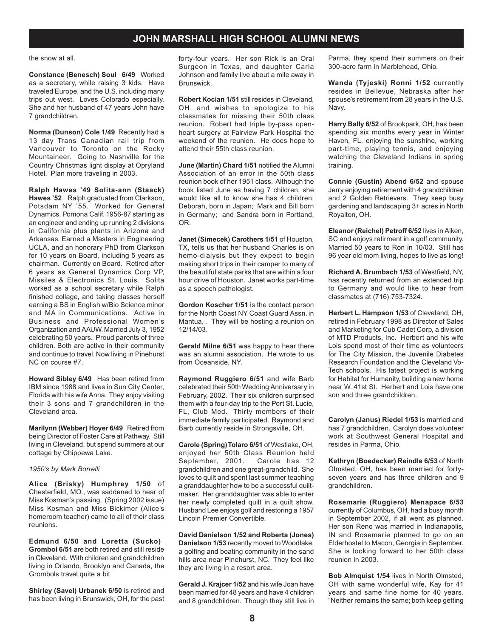#### the snow at all.

**Constance (Benesch) Soul 6/49** Worked as a secretary, while raising 3 kids. Have traveled Europe, and the U.S. including many trips out west. Loves Colorado especially. She and her husband of 47 years John have 7 grandchildren.

**Norma (Dunson) Cole 1/49** Recently had a 13 day Trans Canadian rail trip from Vancouver to Toronto on the Rocky Mountaineer. Going to Nashville for the Country Christmas light display at Opryland Hotel. Plan more traveling in 2003.

**Ralph Hawes '49 Solita-ann (Staack) Hawes '52** Ralph graduated from Clarkson, Potsdam NY '55. Worked for General Dynamics, Pomona Calif. 1956-87 starting as an engineer and ending up running 2 divisions in California plus plants in Arizona and Arkansas. Earned a Masters in Engineering UCLA, and an honorary PhD from Clarkson for 10 years on Board, including 5 years as chairman. Currently on Board. Retired after 6 years as General Dynamics Corp VP, Missiles & Electronics St. Louis. Solita worked as a school secretary while Ralph finished collage, and taking classes herself earning a BS in English w/Bio Science minor and MA in Communications. Active in Business and Professional Women's Organization and AAUW. Married July 3, 1952 celebrating 50 years. Proud parents of three children. Both are active in their community and continue to travel. Now living in Pinehurst NC on course #7.

**Howard Sibley 6/49** Has been retired from IBM since 1988 and lives in Sun City Center, Florida with his wife Anna. They enjoy visiting their 3 sons and 7 grandchildren in the Cleveland area.

**Marilynn (Webber) Hoyer 6/49** Retired from being Director of Foster Care at Pathway. Still living in Cleveland, but spend summers at our cottage by Chippewa Lake.

#### *1950's by Mark Borrelli*

**Alice (Brisky) Humphrey 1/50** of Chesterfield, MO., was saddened to hear of Miss Kosman's passing. (Spring 2002 issue) Miss Kosman and Miss Bickimer (Alice's homeroom teacher) came to all of their class reunions.

**Edmund 6/50 and Loretta (Sucko) Grombol 6/51** are both retired and still reside in Cleveland. With children and grandchildren living in Orlando, Brooklyn and Canada, the Grombols travel quite a bit.

**Shirley (Savel) Urbanek 6/50** is retired and has been living in Brunswick, OH, for the past forty-four years. Her son Rick is an Oral Surgeon in Texas, and daughter Carla Johnson and family live about a mile away in Brunswick.

**Robert Kocian 1/51** still resides in Cleveland, OH, and wishes to apologize to his classmates for missing their 50th class reunion. Robert had triple by-pass openheart surgery at Fairview Park Hospital the weekend of the reunion. He does hope to attend their 55th class reunion.

**June (Martin) Chard 1/51** notified the Alumni Association of an error in the 50th class reunion book of her 1951 class. Although the book listed June as having 7 children, she would like all to know she has 4 children: Deborah, born in Japan; Mark and Bill born in Germany; and Sandra born in Portland, OR.

**Janet (Simecek) Carothers 1/51** of Houston, TX, tells us that her husband Charles is on hemo-dialysis but they expect to begin making short trips in their camper to many of the beautiful state parks that are within a four hour drive of Houston. Janet works part-time as a speech pathologist.

**Gordon Koscher 1/51** is the contact person for the North Coast NY Coast Guard Assn. in Mantua, . They will be hosting a reunion on 12/14/03.

**Gerald Milne 6/51** was happy to hear there was an alumni association. He wrote to us from Oceanside, NY.

**Raymond Ruggiero 6/51** and wife Barb celebrated their 50th Wedding Anniversary in February, 2002. Their six children surprised them with a four-day trip to the Port St. Lucie, FL, Club Med. Thirty members of their immediate family participated. Raymond and Barb currently reside in Strongsville, OH.

**Carole (Spring) Tolaro 6/51** of Westlake, OH, enjoyed her 50th Class Reunion held September, 2001. Carole has 12 grandchildren and one great-grandchild. She loves to quilt and spent last summer teaching a granddaughter how to be a successful quiltmaker. Her granddaughter was able to enter her newly completed quilt in a quilt show. Husband Lee enjoys golf and restoring a 1957 Lincoln Premier Convertible.

**David Danielson 1/52 and Roberta (Jones) Danielson 1/53** recently moved to Woodlake, a golfing and boating community in the sand hills area near Pinehurst, NC. They feel like they are living in a resort area.

**Gerald J. Krajcer 1/52** and his wife Joan have been married for 48 years and have 4 children and 8 grandchildren. Though they still live in Parma, they spend their summers on their 300-acre farm in Marblehead, Ohio.

**Wanda (Tyjeski) Ronni 1/52** currently resides in Bellevue, Nebraska after her spouse's retirement from 28 years in the U.S. Navy.

**Harry Bally 6/52** of Brookpark, OH, has been spending six months every year in Winter Haven, FL, enjoying the sunshine, working part-time, playing tennis, and enjoying watching the Cleveland Indians in spring training.

**Connie (Gustin) Abend 6/52** and spouse Jerry enjoying retirement with 4 grandchildren and 2 Golden Retrievers. They keep busy gardening and landscaping 3+ acres in North Royalton, OH.

**Eleanor (Reichel) Petroff 6/52** lives in Aiken, SC and enjoys retirment in a golf community. Married 50 years to Ron in 10/03. Still has 96 year old mom living, hopes to live as long!

**Richard A. Brumbach 1/53** of Westfield, NY, has recently returned from an extended trip to Germany and would like to hear from classmates at (716) 753-7324.

**Herbert L. Hampson 1/53** of Cleveland, OH, retired in February 1998 as Director of Sales and Marketing for Cub Cadet Corp, a division of MTD Products, Inc. Herbert and his wife Lois spend most of their time as volunteers for The City Mission, the Juvenile Diabetes Research Foundation and the Cleveland Vo-Tech schools. His latest project is working for Habitat for Humanity, building a new home near W. 41st St. Herbert and Lois have one son and three grandchildren.

**Carolyn (Janus) Riedel 1/53** is married and has 7 grandchildren. Carolyn does volunteer work at Southwest General Hospital and resides in Parma, Ohio.

**Kathryn (Boedecker) Reindle 6/53** of North Olmsted, OH, has been married for fortyseven years and has three children and 9 grandchildren.

**Rosemarie (Ruggiero) Menapace 6/53** currently of Columbus, OH, had a busy month in September 2002, if all went as planned. Her son Reno was married in Indianapolis, IN and Rosemarie planned to go on an Elderhostel to Macon, Georgia in September. She is looking forward to her 50th class reunion in 2003.

**Bob Almquist 1/54** lives in North Olmsted, OH with same wonderful wife, Kay for 41 years and same fine home for 40 years. "Neither remains the same; both keep getting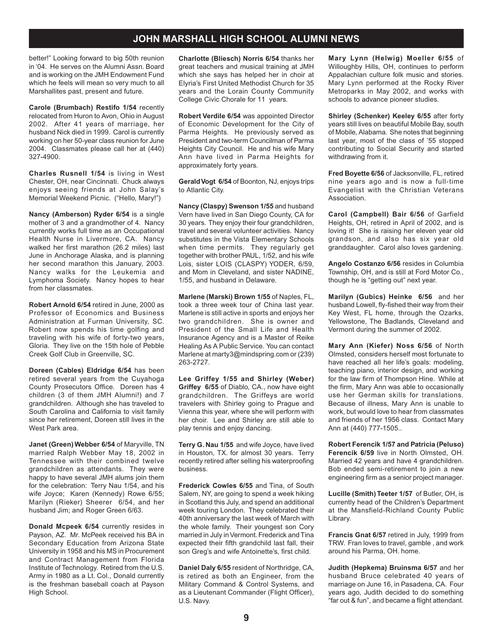better!" Looking forward to big 50th reunion in '04. He serves on the Alumni Assn. Board and is working on the JMH Endowment Fund which he feels will mean so very much to all Marshallites past, present and future.

**Carole (Brumbach) Restifo 1/54** recently relocated from Huron to Avon, Ohio in August 2002. After 41 years of marriage, her husband Nick died in 1999. Carol is currently working on her 50-year class reunion for June 2004. Classmates please call her at (440) 327-4900.

**Charles Rusnell 1/54** is living in West Chester, OH, near Cincinnati. Chuck always enjoys seeing friends at John Salay's Memorial Weekend Picnic. ("Hello, Mary!")

**Nancy (Amberson) Ryder 6/54** is a single mother of 3 and a grandmother of 4. Nancy currently works full time as an Occupational Health Nurse in Livermore, CA. Nancy walked her first marathon (26.2 miles) last June in Anchorage Alaska, and is planning her second marathon this January, 2003. Nancy walks for the Leukemia and Lymphoma Society. Nancy hopes to hear from her classmates.

**Robert Arnold 6/54** retired in June, 2000 as Professor of Economics and Business Administration at Furman University, SC. Robert now spends his time golfing and traveling with his wife of forty-two years, Gloria. They live on the 15th hole of Pebble Creek Golf Club in Greenville, SC.

**Doreen (Cables) Eldridge 6/54** has been retired several years from the Cuyahoga County Prosecutors Office. Doreen has 4 children (3 of them JMH Alumni!) and 7 grandchildren. Although she has traveled to South Carolina and California to visit family since her retirement, Doreen still lives in the West Park area.

**Janet (Green) Webber 6/54** of Maryville, TN married Ralph Webber May 18, 2002 in Tennessee with their combined twelve grandchildren as attendants. They were happy to have several JMH alums join them for the celebration: Terry Nau 1/54, and his wife Joyce; Karen (Kennedy) Rowe 6/55; Marilyn (Rieker) Sheerer 6/54, and her husband Jim; and Roger Green 6/63.

**Donald Mcpeek 6/54** currently resides in Payson, AZ. Mr. McPeek received his BA in Secondary Education from Arizona State University in 1958 and his MS in Procurement and Contract Management from Florida Institute of Technology. Retired from the U.S. Army in 1980 as a Lt. Col., Donald currently is the freshman baseball coach at Payson High School.

**Charlotte (Bliesch) Norris 6/54** thanks her great teachers and musical training at JMH which she says has helped her in choir at Elyria's First United Methodist Church for 35 years and the Lorain County Community College Civic Chorale for 11 years.

**Robert Verdile 6/54** was appointed Director of Economic Development for the City of Parma Heights. He previously served as President and two-term Councilman of Parma Heights City Council. He and his wife Mary Ann have lived in Parma Heights for approximately forty years.

**Gerald Vogt 6/54** of Boonton, NJ, enjoys trips to Atlantic City.

**Nancy (Claspy) Swenson 1/55** and husband Vern have lived in San Diego County, CA for 30 years. They enjoy their four grandchildren, travel and several volunteer activities. Nancy substitutes in the Vista Elementary Schools when time permits. They regularly get together with brother PAUL, 1/52, and his wife Lois, sister LOIS (CLASPY) YODER, 6/59, and Mom in Cleveland, and sister NADINE, 1/55, and husband in Delaware.

**Marlene (Marski) Brown 1/55** of Naples, FL, took a three week tour of China last year. Marlene is still active in sports and enjoys her two grandchildren. She is owner and President of the Small Life and Health Insurance Agency and is a Master of Reike Healing As A Public Service. You can contact Marlene at marty3@mindspring.com or (239) 263-2727.

**Lee Griffey 1/55 and Shirley (Weber) Griffey 6/55** of Diablo, CA., now have eight grandchildren. The Griffeys are world travelers with Shirley going to Prague and Vienna this year, where she will perform with her choir. Lee and Shirley are still able to play tennis and enjoy dancing.

**Terry G. Nau 1/55** and wife Joyce, have lived in Houston, TX. for almost 30 years. Terry recently retired after selling his waterproofing business.

**Frederick Cowles 6/55** and Tina, of South Salem, NY, are going to spend a week hiking in Scotland this July, and spend an additional week touring London. They celebrated their 40th anniversary the last week of March with the whole family. Their youngest son Cory married in July in Vermont. Frederick and Tina expected their fifth grandchild last fall, their son Greg's and wife Antoinette's, first child.

**Daniel Daly 6/55** resident of Northridge, CA, is retired as both an Engineer, from the Military Command & Control Systems, and as a Lieutenant Commander (Flight Officer), U.S. Navy.

**Mary Lynn (Helwig) Moeller 6/55** of Willoughby Hills, OH, continues to perform Appalachian culture folk music and stories. Mary Lynn performed at the Rocky River Metroparks in May 2002, and works with schools to advance pioneer studies.

**Shirley (Schenker) Keeley 6/55** after forty years still lives on beautiful Mobile Bay, south of Mobile, Alabama. She notes that beginning last year, most of the class of '55 stopped contributing to Social Security and started withdrawing from it.

**Fred Boyette 6/56** of Jacksonville, FL, retired nine years ago and is now a full-time Evangelist with the Christian Veterans Association.

**Carol (Campbell) Bair 6/56** of Garfield Heights, OH, retired in April of 2002, and is loving it! She is raising her eleven year old grandson, and also has six year old granddaughter. Carol also loves gardening.

**Angelo Costanzo 6/56** resides in Columbia Township, OH, and is still at Ford Motor Co., though he is "getting out" next year.

**Marilyn (Gubics) Heinke 6/56** and her husband Lowell, fly-fished their way from their Key West, FL home, through the Ozarks, Yellowstone, The Badlands, Cleveland and Vermont during the summer of 2002.

**Mary Ann (Kiefer) Noss 6/56** of North Olmsted, considers herself most fortunate to have reached all her life's goals: modeling, teaching piano, interior design, and working for the law firm of Thompson Hine. While at the firm, Mary Ann was able to occasionally use her German skills for translations. Because of illness, Mary Ann is unable to work, but would love to hear from classmates and friends of her 1956 class. Contact Mary Ann at (440) 777-1505..

**Robert Ferencik 1/57 and Patricia (Peluso) Ferencik 6/59** live in North Olmsted, OH. Married 42 years and have 4 grandchildren. Bob ended semi-retirement to join a new engineering firm as a senior project manager.

**Lucille (Smith) Teeter 1/57** of Butler, OH, is currently head of the Children's Department at the Mansfield-Richland County Public Library.

**Francis Gnat 6/57** retired in July, 1999 from TRW. Fran loves to travel, gamble , and work around his Parma, OH. home.

**Judith (Hepkema) Bruinsma 6/57** and her husband Bruce celebrated 40 years of marriage on June 16, in Pasadena, CA. Four years ago, Judith decided to do something "far out & fun", and became a flight attendant.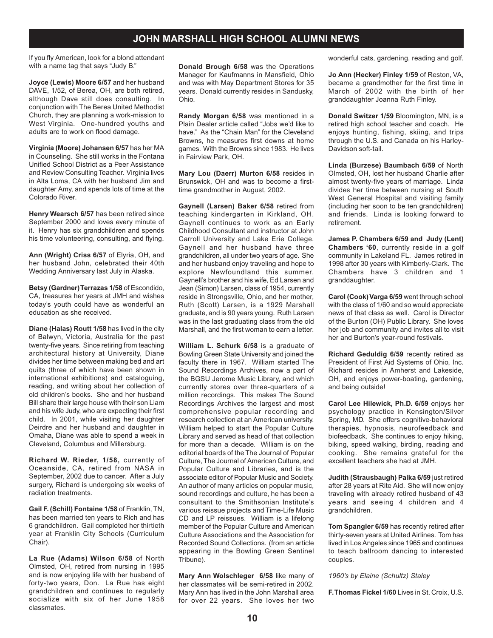If you fly American, look for a blond attendant with a name tag that says "Judy B."

**Joyce (Lewis) Moore 6/57** and her husband DAVE, 1/52, of Berea, OH, are both retired, although Dave still does consulting. In conjunction with The Berea United Methodist Church, they are planning a work-mission to West Virginia. One-hundred youths and adults are to work on flood damage.

**Virginia (Moore) Johansen 6/57** has her MA in Counseling. She still works in the Fontana Unified School District as a Peer Assistance and Review Consulting Teacher. Virginia lives in Alta Loma, CA with her husband Jim and daughter Amy, and spends lots of time at the Colorado River.

**Henry Wearsch 6/57** has been retired since September 2000 and loves every minute of it. Henry has six grandchildren and spends his time volunteering, consulting, and flying.

**Ann (Wright) Criss 6/57** of Elyria, OH, and her husband John, celebrated their 40th Wedding Anniversary last July in Alaska.

**Betsy (Gardner) Terrazas 1/58** of Escondido, CA, treasures her years at JMH and wishes today's youth could have as wonderful an education as she received.

**Diane (Halas) Routt 1/58** has lived in the city of Balwyn, Victoria, Australia for the past twenty-five years. Since retiring from teaching architectural history at University, Diane divides her time between making bed and art quilts (three of which have been shown in international exhibitions) and cataloguing, reading, and writing about her collection of old children's books. She and her husband Bill share their large house with their son Liam and his wife Judy, who are expecting their first child. In 2001, while visiting her daughter Deirdre and her husband and daughter in Omaha, Diane was able to spend a week in Cleveland, Columbus and Millersburg.

**Richard W. Rieder, 1/58,** currently of Oceanside, CA, retired from NASA in September, 2002 due to cancer. After a July surgery, Richard is undergoing six weeks of radiation treatments.

**Gail F. (Schill) Fontaine 1/58** of Franklin, TN, has been married ten years to Rich and has 6 grandchildren. Gail completed her thirtieth year at Franklin City Schools (Curriculum Chair).

**La Rue (Adams) Wilson 6/58** of North Olmsted, OH, retired from nursing in 1995 and is now enjoying life with her husband of forty-two years, Don. La Rue has eight grandchildren and continues to regularly socialize with six of her June 1958 classmates.

**Donald Brough 6/58** was the Operations Manager for Kaufmanns in Mansfield, Ohio and was with May Department Stores for 35 years. Donald currently resides in Sandusky, Ohio.

**Randy Morgan 6/58** was mentioned in a Plain Dealer article called "Jobs we'd like to have." As the "Chain Man" for the Cleveland Browns, he measures first downs at home games. With the Browns since 1983. He lives in Fairview Park, OH.

**Mary Lou (Daerr) Murton 6/58** resides in Brunswick, OH and was to become a firsttime grandmother in August, 2002.

**Gaynell (Larsen) Baker 6/58** retired from teaching kindergarten in Kirkland, OH. Gaynell continues to work as an Early Childhood Consultant and instructor at John Carroll University and Lake Erie College. Gaynell and her husband have three grandchildren, all under two years of age. She and her husband enjoy traveling and hope to explore Newfoundland this summer. Gaynell's brother and his wife, Ed Larsen and Jean (Simon) Larsen, class of 1954, currently reside in Strongsville, Ohio, and her mother, Ruth (Scott) Larsen, is a 1929 Marshall graduate, and is 90 years young. Ruth Larsen was in the last graduating class from the old Marshall, and the first woman to earn a letter.

**William L. Schurk 6/58** is a graduate of Bowling Green State University and joined the faculty there in 1967. William started The Sound Recordings Archives, now a part of the BGSU Jerome Music Library, and which currently stores over three-quarters of a million recordings. This makes The Sound Recordings Archives the largest and most comprehensive popular recording and research collection at an American university. William helped to start the Popular Culture Library and served as head of that collection for more than a decade. William is on the editorial boards of the The Journal of Popular Culture, The Journal of American Culture, and Popular Culture and Libraries, and is the associate editor of Popular Music and Society. An author of many articles on popular music, sound recordings and culture, he has been a consultant to the Smithsonian Institute's various reissue projects and Time-Life Music CD and LP reissues. William is a lifelong member of the Popular Culture and American Culture Associations and the Association for Recorded Sound Collections. (from an article appearing in the Bowling Green Sentinel Tribune).

**Mary Ann Wolschleger 6/58** like many of her classmates will be semi-retired in 2002. Mary Ann has lived in the John Marshall area for over 22 years. She loves her two

wonderful cats, gardening, reading and golf.

**Jo Ann (Hecker) Finley 1/59** of Reston, VA, became a grandmother for the first time in March of 2002 with the birth of her granddaughter Joanna Ruth Finley.

**Donald Switzer 1/59** Bloomington, MN, is a retired high school teacher and coach. He enjoys hunting, fishing, skiing, and trips through the U.S. and Canada on his Harley-Davidson soft-tail.

**Linda (Burzese) Baumbach 6/59** of North Olmsted, OH, lost her husband Charlie after almost twenty-five years of marriage. Linda divides her time between nursing at South West General Hospital and visiting family (including her soon to be ten grandchildren) and friends. Linda is looking forward to retirement.

**James P. Chambers 6/59 and Judy (Lent) Chambers '60**, currently reside in a golf community in Lakeland FL. James retired in 1998 after 30 years with Kimberly-Clark. The Chambers have 3 children and 1 granddaughter.

**Carol (Cook) Varga 6/59** went through school with the class of 1/60 and so would appreciate news of that class as well. Carol is Director of the Burton (OH) Public Library. She loves her job and community and invites all to visit her and Burton's year-round festivals.

**Richard Geduldig 6/59** recently retired as President of First Aid Systems of Ohio, Inc. Richard resides in Amherst and Lakeside, OH, and enjoys power-boating, gardening, and being outside!

**Carol Lee Hilewick, Ph.D. 6/59** enjoys her psychology practice in Kensington/Silver Spring, MD. She offers cognitive-behavioral therapies, hypnosis, neurofeedback and biofeedback. She continues to enjoy hiking, biking, speed walking, birding, reading and cooking. She remains grateful for the excellent teachers she had at JMH.

**Judith (Strausbaugh) Palka 6/59** just retired after 28 years at Rite Aid. She will now enjoy traveling with already retired husband of 43 years and seeing 4 children and 4 grandchildren.

**Tom Spangler 6/59** has recently retired after thirty-seven years at United Airlines. Tom has lived in Los Angeles since 1965 and continues to teach ballroom dancing to interested couples.

*1960's by Elaine (Schultz) Staley*

**F.Thomas Fickel 1/60** Lives in St. Croix, U.S.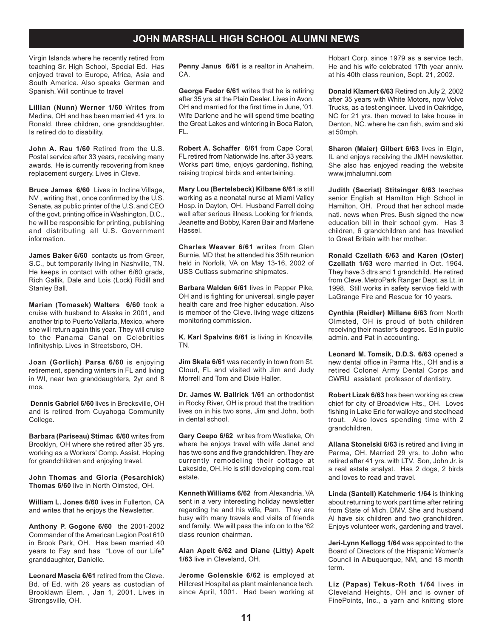Virgin Islands where he recently retired from teaching Sr. High School, Special Ed. Has enjoyed travel to Europe, Africa, Asia and South America. Also speaks German and Spanish. Will continue to travel

**Lillian (Nunn) Werner 1/60** Writes from Medina, OH and has been married 41 yrs. to Ronald, three children, one granddaughter. Is retired do to disability.

**John A. Rau 1/60** Retired from the U.S. Postal service after 33 years, receiving many awards. He is currently recovering from knee replacement surgery. Lives in Cleve.

**Bruce James 6/60** Lives in Incline Village, NV , writing that , once confirmed by the U.S. Senate, as public printer of the U.S. and CEO of the govt. printing office in Washington, D.C., he will be responsible for printing, publishing and distributing all U.S. Government information.

**James Baker 6/60** contacts us from Greer, S.C., but temporarily living in Nashville, TN. He keeps in contact with other 6/60 grads, Rich Gallik, Dale and Lois (Lock) Ridill and Stanley Ball.

**Marian (Tomasek) Walters 6/60** took a cruise with husband to Alaska in 2001, and another trip to Puerto Vallarta, Mexico, where she will return again this year. They will cruise to the Panama Canal on Celebrities Infinityship. Lives in Streetsboro, OH.

**Joan (Gorlich) Parsa 6/60** is enjoying retirement, spending winters in FL and living in WI, near two granddaughters, 2yr and 8 mos.

**Dennis Gabriel 6/60** lives in Brecksville, OH and is retired from Cuyahoga Community College.

**Barbara (Pariseau) Stimac 6/60** writes from Brooklyn, OH where she retired after 35 yrs. working as a Workers' Comp. Assist. Hoping for grandchildren and enjoying travel.

**John Thomas and Gloria (Pesarchick) Thomas 6/60** live in North Olmsted, OH.

**William L. Jones 6/60** lives in Fullerton, CA and writes that he enjoys the Newsletter.

**Anthony P. Gogone 6/60** the 2001-2002 Commander of the American Legion Post 610 in Brook Park, OH. Has been married 40 years to Fay and has "Love of our Life" granddaughter, Danielle.

**Leonard Mascia 6/61** retired from the Cleve. Bd. of Ed. with 26 years as custodian of Brooklawn Elem. , Jan 1, 2001. Lives in Strongsville, OH.

**Penny Janus 6/61** is a realtor in Anaheim, CA.

**George Fedor 6/61** writes that he is retiring after 35 yrs. at the Plain Dealer. Lives in Avon, OH and married for the first time in June, '01. Wife Darlene and he will spend time boating the Great Lakes and wintering in Boca Raton, FL.

**Robert A. Schaffer 6/61** from Cape Coral, FL retired from Nationwide Ins. after 33 years. Works part time, enjoys gardening, fishing, raising tropical birds and entertaining.

**Mary Lou (Bertelsbeck) Kilbane 6/61** is still working as a neonatal nurse at Miami Valley Hosp. in Dayton, OH. Husband Farrell doing well after serious illness. Looking for friends, Jeanette and Bobby, Karen Bair and Marlene Hassel.

**Charles Weaver 6/61** writes from Glen Burnie, MD that he attended his 35th reunion held in Norfolk, VA on May 13-16, 2002 of USS Cutlass submarine shipmates.

**Barbara Walden 6/61** lives in Pepper Pike, OH and is fighting for universal, single payer health care and free higher education. Also is member of the Cleve. living wage citizens monitoring commission.

**K. Karl Spalvins 6/61** is living in Knoxville, TN.

**Jim Skala 6/61** was recently in town from St. Cloud, FL and visited with Jim and Judy Morrell and Tom and Dixie Haller.

**Dr. James W. Ballrick 1/61** an orthodontist in Rocky River, OH is proud that the tradition lives on in his two sons, Jim and John, both in dental school.

**Gary Ceepo 6/62** writes from Westlake, Oh where he enjoys travel with wife Janet and has two sons and five grandchildren. They are currently remodeling their cottage at Lakeside, OH. He is still developing com. real estate.

**Kenneth Williams 6/62** from Alexandria, VA sent in a very interesting holiday newsletter regarding he and his wife, Pam. They are busy with many travels and visits of friends and family. We will pass the info on to the '62 class reunion chairman.

**Alan Apelt 6/62 and Diane (Litty) Apelt 1/63** live in Cleveland, OH.

J**erome Golenskie 6/62** is employed at Hillcrest Hospital as plant maintenance tech. since April, 1001. Had been working at

Hobart Corp. since 1979 as a service tech. He and his wife celebrated 17th year anniv. at his 40th class reunion, Sept. 21, 2002.

**Donald Klamert 6/63** Retired on July 2, 2002 after 35 years with White Motors, now Volvo Trucks, as a test engineer. Lived in Oakridge, NC for 21 yrs. then moved to lake house in Denton, NC. where he can fish, swim and ski at 50mph.

**Sharon (Maier) Gilbert 6/63** lives in Elgin, IL and enjoys receiving the JMH newsletter. She also has enjoyed reading the website www.jmhalumni.com

**Judith (Secrist) Stitsinger 6/63** teaches senior English at Hamilton High School in Hamilton, OH. Proud that her school made natl. news when Pres. Bush signed the new education bill in their school gym. Has 3 children, 6 grandchildren and has travelled to Great Britain with her mother.

**Ronald Czellath 6/63 and Karen (Oster) Czellath 1/63** were married in Oct. 1964. They have 3 dtrs and 1 grandchild. He retired from Cleve. MetroPark Ranger Dept. as Lt. in 1998. Still works in safety service field with LaGrange Fire and Rescue for 10 years.

**Cynthia (Reidler) Millane 6/63** from North Olmsted, OH is proud of both children receiving their master's degrees. Ed in public admin. and Pat in accounting.

**Leonard M. Tomsik, D.D.S. 6/63** opened a new dental office in Parma Hts., OH and is a retired Colonel Army Dental Corps and CWRU assistant professor of dentistry.

**Robert Lizak 6/63** has been working as crew chief for city of Broadview Hts., OH. Loves fishing in Lake Erie for walleye and steelhead trout. Also loves spending time with 2 grandchildren.

**Allana StoneIski 6/63** is retired and living in Parma, OH. Married 29 yrs. to John who retired after 41 yrs. with LTV. Son, John Jr. is a real estate analyst. Has 2 dogs, 2 birds and loves to read and travel.

**Linda (Santell) Katchmeric 1/64** is thinking about returning to work part time after retiring from State of Mich. DMV. She and husband Al have six children and two granchildren. Enjoys volunteer work, gardening and travel.

**Jeri-Lynn Kellogg 1/64** was appointed to the Board of Directors of the Hispanic Women's Council in Albuquerque, NM, and 18 month term.

**Liz (Papas) Tekus-Roth 1/64** lives in Cleveland Heights, OH and is owner of FinePoints, Inc., a yarn and knitting store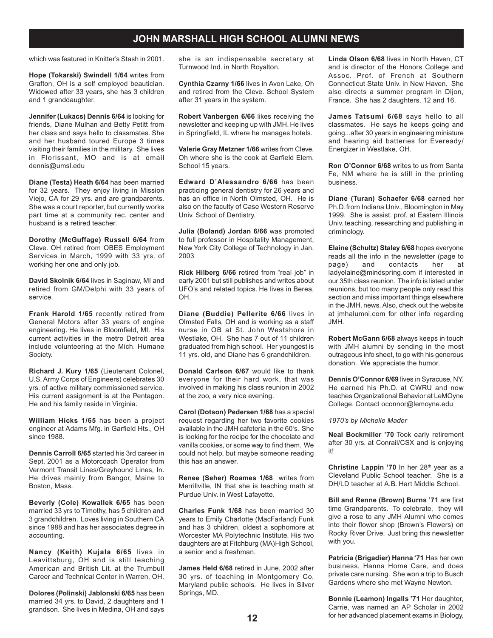which was featured in Knitter's Stash in 2001.

**Hope (Tokarski) Swindell 1/64** writes from Grafton, OH is a self employed beautician. Widowed after 33 years, she has 3 children and 1 granddaughter.

**Jennifer (Lukacs) Dennis 6/64** is looking for friends, Diane Mulhan and Betty Petitt from her class and says hello to classmates. She and her husband toured Europe 3 times visiting their families in the military. She lives in Florissant, MO and is at email dennis@umsl.edu

**Diane (Testa) Heath 6/64** has been married for 32 years. They enjoy living in Mission Viejo, CA for 29 yrs. and are grandparents. She was a court reporter, but currently works part time at a community rec. center and husband is a retired teacher.

**Dorothy (McGuffage) Russell 6/64** from Cleve. OH retired from OBES Employment Services in March, 1999 with 33 yrs. of working her one and only job.

**David Skolnik 6/64** lives in Saginaw, MI and retired from GM/Delphi with 33 years of service.

**Frank Harold 1/65** recently retired from General Motors after 33 years of engine engineering. He lives in Bloomfield, MI. His current activities in the metro Detroit area include volunteering at the Mich. Humane Society.

**Richard J. Kury 1/65** (Lieutenant Colonel, U.S. Army Corps of Engineers) celebrates 30 yrs. of active military commissioned service. His current assignment is at the Pentagon. He and his family reside in Virginia.

**William Hicks 1/65** has been a project engineer at Adams Mfg. in Garfield Hts., OH since 1988.

**Dennis Carroll 6/65** started his 3rd career in Sept. 2001 as a Motorcoach Operator from Vermont Transit Lines/Greyhound Lines, In. He drives mainly from Bangor, Maine to Boston, Mass.

**Beverly (Cole) Kowallek 6/65** has been married 33 yrs to Timothy, has 5 children and 3 grandchildren. Loves living in Southern CA since 1988 and has her associates degree in accounting.

**Nancy (Keith) Kujala 6/65** lives in Leavittsburg, OH and is still teaching American and British Lit. at the Trumbull Career and Technical Center in Warren, OH.

**Dolores (Polinski) Jablonski 6/65** has been married 34 yrs. to David, 2 daughters and 1 grandson. She lives in Medina, OH and says she is an indispensable secretary at Turnwood Ind. in North Royalton.

**Cynthia Czarny 1/66** lives in Avon Lake, Oh and retired from the Cleve. School System after 31 years in the system.

**Robert Vanbergen 6/66** likes receiving the newsletter and keeping up with JMH. He lives in Springfield, IL where he manages hotels.

**Valerie Gray Metzner 1/66** writes from Cleve. Oh where she is the cook at Garfield Elem. School 15 years.

**Edward D'Alessandro 6/66** has been practicing general dentistry for 26 years and has an office in North Olmsted, OH. He is also on the faculty of Case Western Reserve Univ. School of Dentistry.

**Julia (Boland) Jordan 6/66** was promoted to full professor in Hospitality Management, New York City College of Technology in Jan. 2003

**Rick Hilberg 6/66** retired from "real job" in early 2001 but still publishes and writes about UFO's and related topics. He lives in Berea, OH.

**Diane (Buddie) Pellerite 6/66** lives in Olmsted Falls, OH and is working as a staff nurse in OB at St. John Westshore in Westlake, OH. She has 7 out of 11 children graduated from high school. Her youngest is 11 yrs. old, and Diane has 6 grandchildren.

**Donald Carlson 6/67** would like to thank everyone for their hard work, that was involved in making his class reunion in 2002 at the zoo, a very nice evening.

**Carol (Dotson) Pedersen 1/68** has a special request regarding her two favorite cookies available in the JMH cafeteria in the 60's. She is looking for the recipe for the chocolate and vanilla cookies, or some way to find them. We could not help, but maybe someone reading this has an answer.

**Renee (Seher) Roames 1/68** writes from Merrillville, IN that she is teaching math at Purdue Univ. in West Lafayette.

**Charles Funk 1/68** has been married 30 years to Emily Charlotte (MacFarland) Funk and has 3 children, oldest a sophomore at Worcester MA Polytechnic Institute. His two daughters are at Fitchburg (MA)High School, a senior and a freshman.

**James Held 6/68** retired in June, 2002 after 30 yrs. of teaching in Montgomery Co. Maryland public schools. He lives in Silver Springs, MD.

**Linda Olson 6/68** lives in North Haven, CT and is director of the Honors College and Assoc. Prof. of French at Southern Connecticut State Univ. in New Haven. She also directs a summer program in Dijon, France. She has 2 daughters, 12 and 16.

**James Tatsumi 6/68** says hello to all classmates. He says he keeps going and going...after 30 years in engineering miniature and hearing aid batteries for Eveready/ Energizer in Westlake, OH.

**Ron O'Connor 6/68** writes to us from Santa Fe, NM where he is still in the printing business.

**Diane (Turan) Schaefer 6/68** earned her Ph.D. from Indiana Univ., Bloomington in May 1999. She is assist. prof. at Eastern Illinois Univ. teaching, researching and publishing in criminology.

**Elaine (Schultz) Staley 6/68** hopes everyone reads all the info in the newsletter (page to page) and contacts her at ladyelaine@mindspring.com if interested in our 35th class reunion. The info is listed under reunions, but too many people only read this section and miss important things elsewhere in the JMH. news. Also, check out the website at jmhalumni.com for other info regarding JMH.

**Robert McGann 6/68** always keeps in touch with JMH alumni by sending in the most outrageous info sheet, to go with his generous donation. We appreciate the humor.

**Dennis O'Connor 6/69** lives in Syracuse, NY. He earned his Ph.D. at CWRU and now teaches Organizational Behavior at LeMOyne College. Contact oconnor@lemoyne.edu

*1970's by Michelle Mader*

**Neal Bockmiller '70** Took early retirement after 30 yrs. at Conrail/CSX and is enjoying it!

**Christine Lappin '70** In her 28<sup>th</sup> year as a Cleveland Public School teacher. She is a DH/LD teacher at A.B. Hart Middle School.

**Bill and Renne (Brown) Burns '71** are first time Grandparents. To celebrate, they will give a rose to any JMH Alumni who comes into their flower shop (Brown's Flowers) on Rocky River Drive. Just bring this newsletter with you.

**Patricia (Brigadier) Hanna '71** Has her own business, Hanna Home Care, and does private care nursing. She won a trip to Busch Gardens where she met Wayne Newton.

**Bonnie (Leamon) Ingalls '71** Her daughter, Carrie, was named an AP Scholar in 2002 for her advanced placement exams in Biology,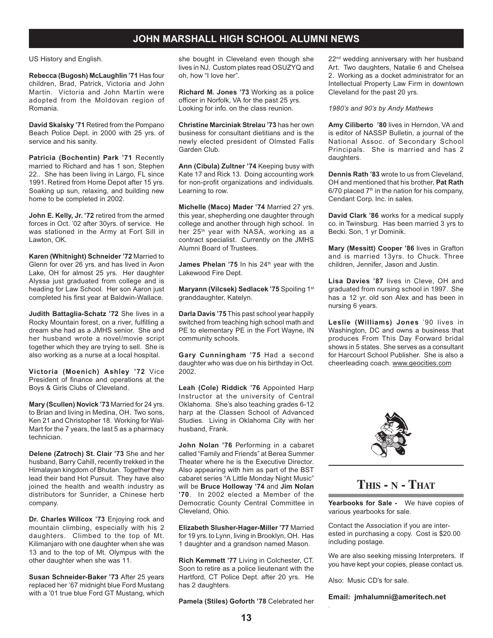US History and English.

**Rebecca (Bugosh) McLaughlin '71** Has four children, Brad, Patrick, Victoria and John Martin. Victoria and John Martin were adopted from the Moldovan region of Romania.

**David Skalsky '71** Retired from the Pompano Beach Police Dept. in 2000 with 25 yrs. of service and his sanity.

**Patricia (Bochentin) Park '71** Recently married to Richard and has 1 son, Stephen 22.. She has been living in Largo, FL since 1991. Retired from Home Depot after 15 yrs. Soaking up sun, relaxing, and building new home to be completed in 2002.

**John E. Kelly, Jr. '72** retired from the armed forces in Oct. '02 after 30yrs. of service. He was stationed in the Army at Fort Sill in Lawton, OK.

**Karen (Whitnight) Schneider '72** Married to Glenn for over 26 yrs. and has lived in Avon Lake, OH for almost 25 yrs. Her daughter Alyssa just graduated from college and is heading for Law School. Her son Aaron just completed his first year at Baldwin-Wallace.

**Judith Battaglia-Schatz '72** She lives in a Rocky Mountain forest, on a river, fulfilling a dream she had as a JMHS senior. She and her husband wrote a novel/movie script together which they are trying to sell. She is also working as a nurse at a local hospital.

**Victoria (Moenich) Ashley '72** Vice President of finance and operations at the Boys & Girls Clubs of Cleveland.

**Mary (Scullen) Novick '73** Married for 24 yrs. to Brian and living in Medina, OH. Two sons, Ken 21 and Christopher 18. Working for Wal-Mart for the 7 years, the last 5 as a pharmacy technician.

**Delene (Zatroch) St. Clair '73** She and her husband, Barry Cahill, recently trekked in the Himalayan kingdom of Bhutan. Together they lead their band Hot Pursuit. They have also joined the health and wealth industry as distributors for Sunrider, a Chinese herb company.

**Dr. Charles Willcox '73** Enjoying rock and mountain climbing, especially with his 2 daughters. Climbed to the top of Mt. Kilimanjaro with one daughter when she was 13 and to the top of Mt. Olympus with the other daughter when she was 11.

**Susan Schneider-Baker '73** After 25 years replaced her '67 midnight blue Ford Mustang with a '01 true blue Ford GT Mustang, which she bought in Cleveland even though she lives in NJ. Custom plates read OSUZYQ and oh, how "I love her".

**Richard M. Jones '73** Working as a police officer in Norfolk, VA for the past 25 yrs. Looking for info. on the class reunion.

**Christine Marciniak Strelau '73** has her own business for consultant dietitians and is the newly elected president of Olmsted Falls Garden Club.

**Ann (Cibula) Zultner '74** Keeping busy with Kate 17 and Rick 13. Doing accounting work for non-profit organizations and individuals. Learning to row.

**Michelle (Maco) Mader '74** Married 27 yrs. this year, shepherding one daughter through college and another through high school. In her 25<sup>th</sup> year with NASA, working as a contract specialist. Currently on the JMHS Alumni Board of Trustees.

James Phelan '75 In his 24<sup>th</sup> year with the Lakewood Fire Dept.

**Maryann (Vilcsek) Sedlacek '75** Spoiling 1st granddaughter, Katelyn.

**Darla Davis '75** This past school year happily switched from teaching high school math and PE to elementary PE in the Fort Wayne, IN community schools.

**Gary Cunningham '75** Had a second daughter who was due on his birthday in Oct. 2002.

**Leah (Cole) Riddick '76** Appointed Harp Instructor at the university of Central Oklahoma. She's also teaching grades 6-12 harp at the Classen School of Advanced Studies. Living in Oklahoma City with her husband, Frank.

**John Nolan '76** Performing in a cabaret called "Family and Friends" at Berea Summer Theater where he is the Executive Director. Also appearing with him as part of the BST cabaret series "A Little Monday Night Music" will be **Bruce Holloway '74** and **Jim Nolan '70**. In 2002 elected a Member of the Democratic County Central Committee in Cleveland, Ohio.

**Elizabeth Slusher-Hager-Miller '77** Married for 19 yrs. to Lynn, living in Brooklyn, OH. Has 1 daughter and a grandson named Mason.

**Rich Kemmett '77** Living in Colchester, CT. Soon to retire as a police lieutenant with the Hartford, CT Police Dept. after 20 yrs. He has 2 daughters.

**Pamela (Stiles) Goforth '78** Celebrated her

22<sup>nd</sup> wedding anniversary with her husband Art. Two daughters, Natalie 6 and Chelsea 2. Working as a docket administrator for an Intellectual Property Law Firm in downtown Cleveland for the past 20 yrs.

*1980's and 90's by Andy Mathews*

**Amy Ciliberto '80** lives in Herndon, VA and is editor of NASSP Bulletin, a journal of the National Assoc. of Secondary School Principals. She is married and has 2 daughters.

**Dennis Rath '83** wrote to us from Cleveland, OH and mentioned that his brother, **Pat Rath**  $6/70$  placed  $7<sup>th</sup>$  in the nation for his company, Cendant Corp. Inc. in sales.

**David Clark '86** works for a medical supply co. in Twinsburg. Has been married 3 yrs to Becki. Son, 1 yr Dominik.

**Mary (Messitt) Cooper '86** lives in Grafton and is married 13yrs. to Chuck. Three children, Jennifer, Jason and Justin.

**Lisa Davies '87** lives in Cleve, OH and graduated from nursing school in 1997. She has a 12 yr. old son Alex and has been in nursing 6 years.

**Leslie (Williams) Jones** '90 lives in Washington, DC and owns a business that produces From This Day Forward bridal shows in 5 states. She serves as a consultant for Harcourt School Publisher. She is also a cheerleading coach. www.geocities.com



# **THIS - N - THAT**

**Yearbooks for Sale -** We have copies of various yearbooks for sale.

Contact the Association if you are interested in purchasing a copy. Cost is \$20.00 including postage.

We are also seeking missing Interpreters. If you have kept your copies, please contact us.

Also: Music CD's for sale.

.

**Email: jmhalumni@ameritech.net**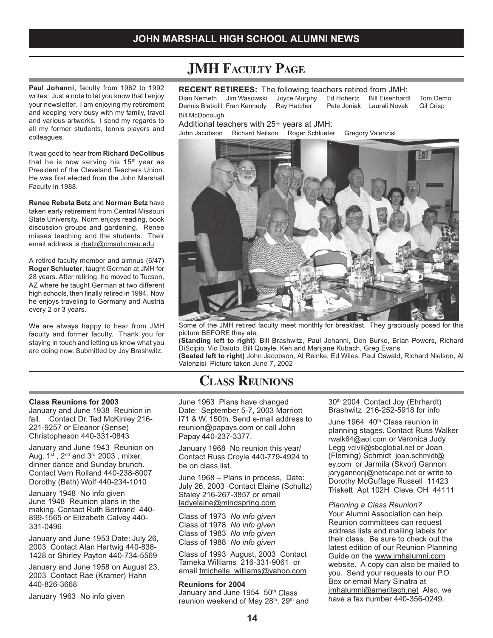#### **Paul Johanni**, faculty from 1962 to 1992 writes: Just a note to let you know that I enjoy your newsletter. I am enjoying my retirement and keeping very busy with my family, travel and various artworks. I send my regards to all my former students, tennis players and colleagues.

It was good to hear from **Richard DeColibus** that he is now serving his  $15<sup>th</sup>$  year as President of the Cleveland Teachers Union. He was first elected from the John Marshall Faculty in 1988.

**Renee Rebeta Betz** and **Norman Betz** have taken early retirement from Central Missouri State University. Norm enjoys reading, book discussion groups and gardening. Renee misses teaching and the students. Their email address is rbetz@cmsul.cmsu.edu

A retired faculty member and almnus (6/47) **Roger Schlueter**, taught German at JMH for 28 years. After retiring, he moved to Tucson, AZ where he taught German at two different high schools, then finally retired in 1994. Now he enjoys traveling to Germany and Austria every 2 or 3 years.

We are always happy to hear from JMH faculty and former faculty. Thank you for staying in touch and letting us know what you are doing now. Submitted by Joy Brashwitz.

# **JMH FACULTY PAGE**

### **RECENT RETIREES:** The following teachers retired from JMH:

Dian Nemeth Jim Wasowski Joyce Murphy Ed Hohertz Bill Eisenhardt Tom Demo<br>Dennis Blabolil Fran Kennedy Ray Hatcher Pete Joniak Laurali Novak Gil Crisp Dennis Blabolil Fran Kennedy Bill McDonough.

Additional teachers with 25+ years at JMH:

John Jacobson Richard Neilson Roger Schlueter Gregory Valenzisl



Some of the JMH retired faculty meet monthly for breakfast. They graciously posed for this picture BEFORE they ate.

**(Standing left to right)**: Bill Brashwitz, Paul Johanni, Don Burke, Brian Powers, Richard DiScipio, Vic Daiuto, Bill Quayle, Ken and Marijane Kubach, Greg Evans. **(Seated left to right)** John Jacobson, Al Reinke, Ed Wiles, Paul Oswald, Richard Nielson, Al Valenzisi Picture taken June 7, 2002

# **CLASS REUNIONS**

June 1963 Plans have changed Date: September 5-7, 2003 Marriott I71 & W. 150th. Send e-mail address to reunion@papays.com or call John Papay 440-237-3377.

January 1968 No reunion this year/ Contact Russ Croyle 440-779-4924 to be on class list.

June 1968 – Plans in process, Date: July 26, 2003 Contact Elaine (Schultz) Staley 216-267-3857 or email ladyelaine@mindspring.com

Class of 1973 *No info given* Class of 1978 *No info given* Class of 1983 *No info given* Class of 1988 *No info given*

Class of 1993 August, 2003 Contact Tameka Williams 216-331-9061 or email tmichelle\_williams@yahoo.com

#### **Reunions for 2004**

January and June 1954 50th Class reunion weekend of May 28<sup>th</sup>, 29<sup>th</sup> and 30<sup>th</sup> 2004. Contact Joy (Ehrhardt) Brashwitz 216-252-5918 for info

June 1964 40<sup>th</sup> Class reunion in planning stages. Contact Russ Walker rwalk64@aol.com or Veronica Judy Legg vcivil@sbcglobal.net or Joan (Fleming) Schmidt joan.schmidt@ ey.com or Jarmila (Skvor) Gannon jarygannonj@netscape.net or write to Dorothy McGuffage Russell 11423 Triskett Apt 102H Cleve. OH 44111

#### *Planning a Class Reunion?*

Your Alumni Association can help. Reunion committees can request address lists and mailing labels for their class. Be sure to check out the latest edition of our Reunion Planning Guide on the www.jmhalumni.com website. A copy can also be mailed to you. Send your requests to our P.O. Box or email Mary Sinatra at jmhalumni@ameritech.net Also, we have a fax number 440-356-0249.

#### **Class Reunions for 2003**

January and June 1938 Reunion in fall. Contact Dr. Ted McKinley 216- 221-9257 or Eleanor (Sense) Christopheson 440-331-0843

January and June 1943 Reunion on Aug.  $1^{st}$ ,  $2^{nd}$  and  $3^{rd}$  2003, mixer, dinner dance and Sunday brunch. Contact Vern Rolland 440-238-8007 Dorothy (Bath) Wolf 440-234-1010

January 1948 No info given June 1948 Reunion plans in the making. Contact Ruth Bertrand 440- 899-1565 or Elizabeth Calvey 440- 331-0496

January and June 1953 Date: July 26, 2003 Contact Alan Hartwig 440-838- 1428 or Shirley Payton 440-734-5569

January and June 1958 on August 23, 2003 Contact Rae (Kramer) Hahn 440-826-3668

January 1963 No info given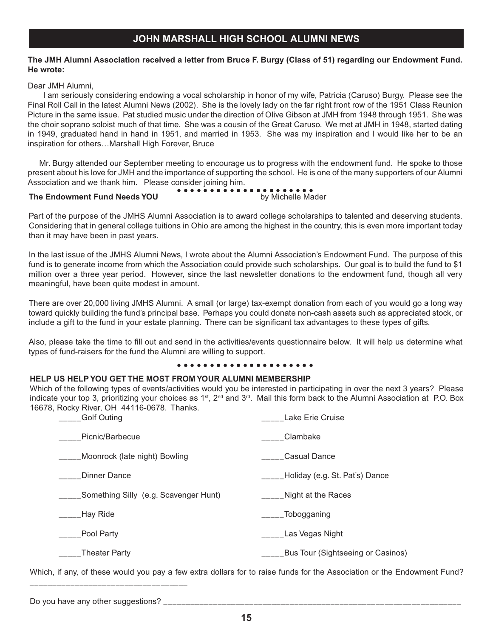### **The JMH Alumni Association received a letter from Bruce F. Burgy (Class of 51) regarding our Endowment Fund. He wrote:**

Dear JMH Alumni,

I am seriously considering endowing a vocal scholarship in honor of my wife, Patricia (Caruso) Burgy. Please see the Final Roll Call in the latest Alumni News (2002). She is the lovely lady on the far right front row of the 1951 Class Reunion Picture in the same issue. Pat studied music under the direction of Olive Gibson at JMH from 1948 through 1951. She was the choir soprano soloist much of that time. She was a cousin of the Great Caruso. We met at JMH in 1948, started dating in 1949, graduated hand in hand in 1951, and married in 1953. She was my inspiration and I would like her to be an inspiration for others…Marshall High Forever, Bruce

 Mr. Burgy attended our September meeting to encourage us to progress with the endowment fund. He spoke to those present about his love for JMH and the importance of supporting the school. He is one of the many supporters of our Alumni Association and we thank him. Please consider joining him. ○○○○○○○○○○○○○○○○○○○○○

#### The Endowment Fund Needs YOU by Michelle Mader

Part of the purpose of the JMHS Alumni Association is to award college scholarships to talented and deserving students. Considering that in general college tuitions in Ohio are among the highest in the country, this is even more important today than it may have been in past years.

In the last issue of the JMHS Alumni News, I wrote about the Alumni Association's Endowment Fund. The purpose of this fund is to generate income from which the Association could provide such scholarships. Our goal is to build the fund to \$1 million over a three year period. However, since the last newsletter donations to the endowment fund, though all very meaningful, have been quite modest in amount.

There are over 20,000 living JMHS Alumni. A small (or large) tax-exempt donation from each of you would go a long way toward quickly building the fund's principal base. Perhaps you could donate non-cash assets such as appreciated stock, or include a gift to the fund in your estate planning. There can be significant tax advantages to these types of gifts.

Also, please take the time to fill out and send in the activities/events questionnaire below. It will help us determine what types of fund-raisers for the fund the Alumni are willing to support.

### ○○○○○○○○○○○○○○○○○○○○○

## **HELP US HELP YOU GET THE MOST FROM YOUR ALUMNI MEMBERSHIP**

Which of the following types of events/activities would you be interested in participating in over the next 3 years? Please indicate your top 3, prioritizing your choices as 1<sup>st</sup>, 2<sup>nd</sup> and 3<sup>rd</sup>. Mail this form back to the Alumni Association at P.O. Box 16678, Rocky River, OH 44116-0678. Thanks.

| <b>Golf Outing</b>                    | Lake Erie Cruise                  |
|---------------------------------------|-----------------------------------|
| Picnic/Barbecue                       | Clambake                          |
| _Moonrock (late night) Bowling        | <b>Casual Dance</b>               |
| Dinner Dance                          | Holiday (e.g. St. Pat's) Dance    |
| Something Silly (e.g. Scavenger Hunt) | Night at the Races                |
| _Hay Ride                             | _Tobogganing                      |
| Pool Party                            | Las Vegas Night                   |
| <b>Theater Party</b>                  | Bus Tour (Sightseeing or Casinos) |

Which, if any, of these would you pay a few extra dollars for to raise funds for the Association or the Endowment Fund?

Do you have any other suggestions?

\_\_\_\_\_\_\_\_\_\_\_\_\_\_\_\_\_\_\_\_\_\_\_\_\_\_\_\_\_\_\_\_\_\_\_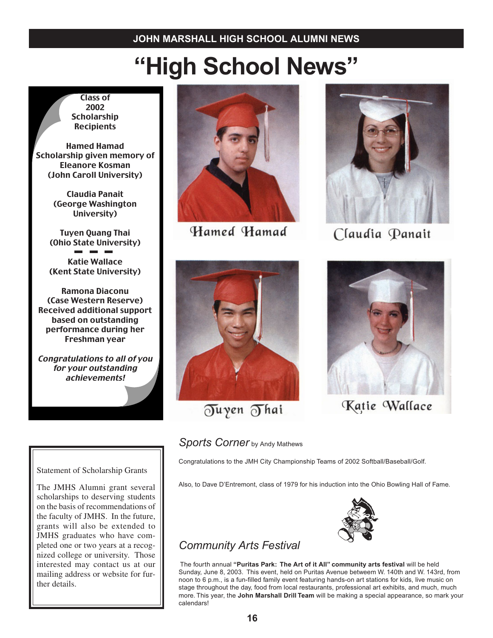# **"High School News"**

Class of 2002 **Scholarship Recipients** 

Hamed Hamad Scholarship given memory of Eleanore Kosman (John Caroll University)

> Claudia Panait (George Washington University)

Tuyen Quang Thai (Ohio State University) Katie Wallace (Kent State University)

Ramona Diaconu (Case Western Reserve) Received additional support based on outstanding performance during her Freshman year

Congratulations to all of you for your outstanding achievements!

Statement of Scholarship Grants

The JMHS Alumni grant several scholarships to deserving students on the basis of recommendations of the faculty of JMHS. In the future, grants will also be extended to JMHS graduates who have completed one or two years at a recognized college or university. Those interested may contact us at our mailing address or website for further details.



Hamed Hamad



Claudia Panait



Tuyen Thai



Katie Wallace

**Sports Corner** by Andy Mathews

Congratulations to the JMH City Championship Teams of 2002 Softball/Baseball/Golf.

Also, to Dave D'Entremont, class of 1979 for his induction into the Ohio Bowling Hall of Fame.



# *Community Arts Festival*

The fourth annual **"Puritas Park: The Art of it All" community arts festival** will be held Sunday, June 8, 2003. This event, held on Puritas Avenue betweem W. 140th and W. 143rd, from noon to 6 p.m., is a fun-filled family event featuring hands-on art stations for kids, live music on stage throughout the day, food from local restaurants, professional art exhibits, and much, much more. This year, the **John Marshall Drill Team** will be making a special appearance, so mark your calendars!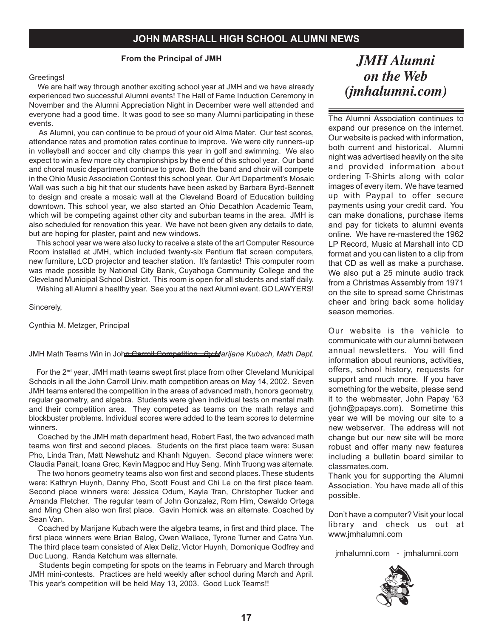**From the Principal of JMH**

#### Greetings!

We are half way through another exciting school year at JMH and we have already experienced two successful Alumni events! The Hall of Fame Induction Ceremony in November and the Alumni Appreciation Night in December were well attended and everyone had a good time. It was good to see so many Alumni participating in these events.

As Alumni, you can continue to be proud of your old Alma Mater. Our test scores, attendance rates and promotion rates continue to improve. We were city runners-up in volleyball and soccer and city champs this year in golf and swimming. We also expect to win a few more city championships by the end of this school year. Our band and choral music department continue to grow. Both the band and choir will compete in the Ohio Music Association Contest this school year. Our Art Department's Mosaic Wall was such a big hit that our students have been asked by Barbara Byrd-Bennett to design and create a mosaic wall at the Cleveland Board of Education building downtown. This school year, we also started an Ohio Decathlon Academic Team, which will be competing against other city and suburban teams in the area. JMH is also scheduled for renovation this year. We have not been given any details to date, but are hoping for plaster, paint and new windows.

This school year we were also lucky to receive a state of the art Computer Resource Room installed at JMH, which included twenty-six Pentium flat screen computers, new furniture, LCD projector and teacher station. It's fantastic! This computer room was made possible by National City Bank, Cuyahoga Community College and the Cleveland Municipal School District. This room is open for all students and staff daily.

Wishing all Alumni a healthy year. See you at the next Alumni event. GO LAWYERS!

Sincerely,

Cynthia M. Metzger, Principal

#### JMH Math Teams Win in John Carroll Competition *By Marijane Kubach, Math Dept.*

For the 2<sup>nd</sup> year, JMH math teams swept first place from other Cleveland Municipal Schools in all the John Carroll Univ. math competition areas on May 14, 2002. Seven JMH teams entered the competition in the areas of advanced math, honors geometry, regular geometry, and algebra. Students were given individual tests on mental math and their competition area. They competed as teams on the math relays and blockbuster problems. Individual scores were added to the team scores to determine winners.

Coached by the JMH math department head, Robert Fast, the two advanced math teams won first and second places. Students on the first place team were: Susan Pho, Linda Tran, Matt Newshutz and Khanh Nguyen. Second place winners were: Claudia Panait, Ioana Grec, Kevin Magpoc and Huy Seng. Minh Truong was alternate.

The two honors geometry teams also won first and second places. These students were: Kathryn Huynh, Danny Pho, Scott Foust and Chi Le on the first place team. Second place winners were: Jessica Odum, Kayla Tran, Christopher Tucker and Amanda Fletcher. The regular team of John Gonzalez, Rom Him, Oswaldo Ortega and Ming Chen also won first place. Gavin Homick was an alternate. Coached by Sean Van.

Coached by Marijane Kubach were the algebra teams, in first and third place. The first place winners were Brian Balog, Owen Wallace, Tyrone Turner and Catra Yun. The third place team consisted of Alex Deliz, Victor Huynh, Domonique Godfrey and Duc Luong. Randa Ketchum was alternate.

Students begin competing for spots on the teams in February and March through JMH mini-contests. Practices are held weekly after school during March and April. This year's competition will be held May 13, 2003. Good Luck Teams!!

# *JMH Alumni on the Web (jmhalumni.com)*

The Alumni Association continues to expand our presence on the internet. Our website is packed with information, both current and historical. Alumni night was advertised heavily on the site and provided information about ordering T-Shirts along with color images of every item. We have teamed up with Paypal to offer secure payments using your credit card. You can make donations, purchase items and pay for tickets to alumni events online. We have re-mastered the 1962 LP Record, Music at Marshall into CD format and you can listen to a clip from that CD as well as make a purchase. We also put a 25 minute audio track from a Christmas Assembly from 1971 on the site to spread some Christmas cheer and bring back some holiday season memories.

Our website is the vehicle to communicate with our alumni between annual newsletters. You will find information about reunions, activities, offers, school history, requests for support and much more. If you have something for the website, please send it to the webmaster, John Papay '63 (john@papays.com). Sometime this year we will be moving our site to a new webserver. The address will not change but our new site will be more robust and offer many new features including a bulletin board similar to classmates.com.

Thank you for supporting the Alumni Association. You have made all of this possible.

Don't have a computer? Visit your local library and check us out at www.jmhalumni.com

jmhalumni.com - jmhalumni.com

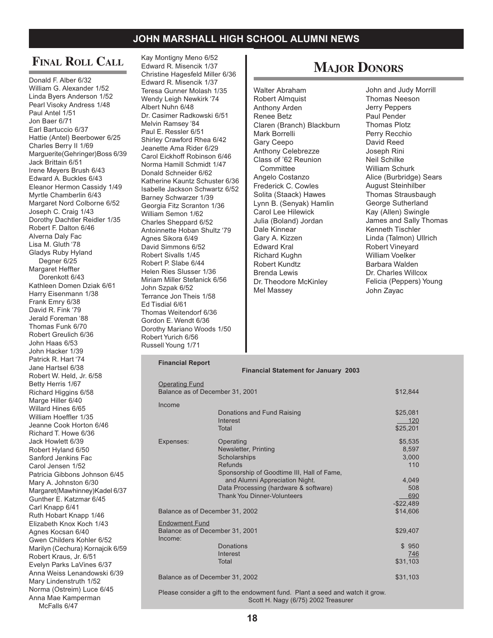# **FINAL ROLL CALL**

Donald F. Alber 6/32 William G. Alexander 1/52 Linda Byers Anderson 1/52 Pearl Visoky Andress 1/48 Paul Antel 1/51 Jon Baer 6/71 Earl Bartuccio 6/37 Hattie (Antel) Beerbower 6/25 Charles Berry II 1/69 Marguerite(Gehringer)Boss 6/39 Jack Brittain 6/51 Irene Meyers Brush 6/43 Edward A. Buckles 6/43 Eleanor Hermon Cassidy 1/49 Myrtle Chamberlin 6/43 Margaret Nord Colborne 6/52 Joseph C. Craig 1/43 Dorothy Dachtler Reidler 1/35 Robert F. Dalton 6/46 Alverna Daly Fac Lisa M. Gluth '78 Gladys Ruby Hyland Degner 6/25 Margaret Heffter Dorenkott 6/43 Kathleen Domen Dziak 6/61 Harry Eisenmann 1/38 Frank Emry 6/38 David R. Fink '79 Jerald Foreman '88 Thomas Funk 6/70 Robert Greulich 6/36 John Haas 6/53 John Hacker 1/39 Patrick R. Hart '74 Jane Hartsel 6/38 Robert W. Held, Jr. 6/58 Betty Herris 1/67 Richard Higgins 6/58 Marge Hiller 6/40 Willard Hines 6/65 William Hoeffler 1/35 Jeanne Cook Horton 6/46 Richard T. Howe 6/36 Jack Howlett 6/39 Robert Hyland 6/50 Sanford Jenkins Fac Carol Jensen 1/52 Patricia Gibbons Johnson 6/45 Mary A. Johnston 6/30 Margaret(Mawhinney)Kadel 6/37 Gunther E. Katzmar 6/45 Carl Knapp 6/41 Ruth Hobart Knapp 1/46 Elizabeth Knox Koch 1/43 Agnes Kocsan 6/40 Gwen Childers Kohler 6/52 Marilyn (Cechura) Kornajcik 6/59 Robert Kraus, Jr. 6/51 Evelyn Parks LaVines 6/37 Anna Weiss Lenandowski 6/39 Mary Lindenstruth 1/52 Norma (Ostreim) Luce 6/45 Anna Mae Kamperman McFalls 6/47

Kay Montigny Meno 6/52 Edward R. Misencik 1/37 Christine Hagesfeld Miller 6/36 Edward R. Misencik 1/37 Teresa Gunner Molash 1/35 Wendy Leigh Newkirk '74 Albert Nuhn 6/48 Dr. Casimer Radkowski 6/51 Melvin Ramsey '84 Paul E. Ressler 6/51 Shirley Crawford Rhea 6/42 Jeanette Ama Rider 6/29 Carol Eickhoff Robinson 6/46 Norma Hamill Schmidt 1/47 Donald Schneider 6/62 Katherine Kauntz Schuster 6/36 Isabelle Jackson Schwartz 6/52 Barney Schwarzer 1/39 Georgia Fitz Scranton 1/36 William Semon 1/62 Charles Sheppard 6/52 Antoinnette Hoban Shultz '79 Agnes Sikora 6/49 David Simmons 6/52 Robert Sivalls 1/45 Robert P. Slabe 6/44 Helen Ries Slusser 1/36 Miriam Miller Stefanick 6/56 John Szpak 6/52 Terrance Jon Theis 1/58 Ed Tisdial 6/61 Thomas Weitendorf 6/36 Gordon E. Wendt 6/36 Dorothy Mariano Woods 1/50 Robert Yurich 6/56 Russell Young 1/71

# **MAJOR DONORS**

Walter Abraham Robert Almquist Anthony Arden Renee Betz Claren (Branch) Blackburn Mark Borrelli Gary Ceepo Anthony Celebrezze Class of '62 Reunion **Committee** Angelo Costanzo Frederick C. Cowles Solita (Staack) Hawes Lynn B. (Senyak) Hamlin Carol Lee Hilewick Julia (Boland) Jordan Dale Kinnear Gary A. Kizzen Edward Kral Richard Kughn Robert Kundtz Brenda Lewis Dr. Theodore McKinley Mel Massey

John and Judy Morrill Thomas Neeson Jerry Peppers Paul Pender Thomas Plotz Perry Recchio David Reed Joseph Rini Neil Schilke William Schurk Alice (Burbridge) Sears August Steinhilber Thomas Strausbaugh George Sutherland Kay (Allen) Swingle James and Sally Thomas Kenneth Tischler Linda (Talmon) Ullrich Robert Vineyard William Voelker Barbara Walden Dr. Charles Willcox Felicia (Peppers) Young John Zayac

# **Financial Report**

| <b>Operating Fund</b><br>Balance as of December 31, 2001 |                                            | \$12,844   |
|----------------------------------------------------------|--------------------------------------------|------------|
| Income                                                   | Donations and Fund Raising                 | \$25,081   |
|                                                          | Interest                                   | 120        |
|                                                          | Total                                      | \$25,201   |
| Expenses:                                                | Operating                                  | \$5,535    |
|                                                          | Newsletter, Printing                       | 8,597      |
|                                                          | Scholarships                               | 3,000      |
|                                                          | Refunds                                    | 110        |
|                                                          | Sponsorship of Goodtime III, Hall of Fame, |            |
|                                                          | and Alumni Appreciation Night.             | 4,049      |
|                                                          | Data Processing (hardware & software)      | 508        |
|                                                          | Thank You Dinner-Volunteers                | 690        |
|                                                          |                                            | $-$22,489$ |
| Balance as of December 31, 2002                          |                                            | \$14,606   |
| <b>Endowment Fund</b>                                    |                                            |            |
| Balance as of December 31, 2001<br>Income:               |                                            | \$29,407   |
|                                                          | Donations                                  | \$950      |
|                                                          | Interest                                   | 746        |
|                                                          | Total                                      | \$31,103   |
| Balance as of December 31, 2002                          |                                            | \$31,103   |

**Financial Statement for January 2003**

Please consider a gift to the endowment fund. Plant a seed and watch it grow. Scott H. Nagy (6/75) 2002 Treasurer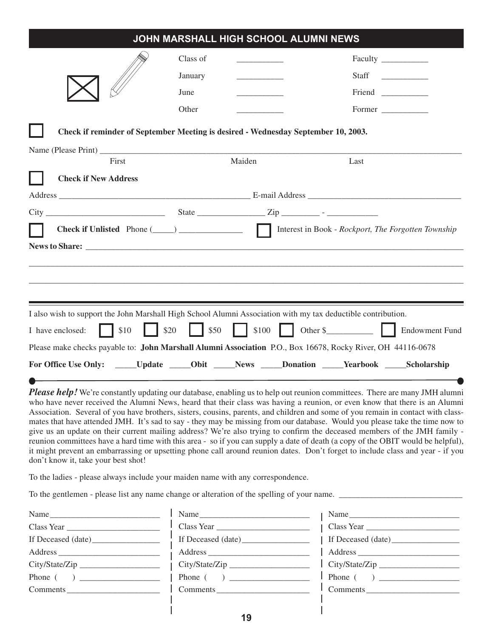|                                                                                                                                                                                                                                                                                                                                                                                                                                                                                                                                                                                                                                                                                                                                                                                                                                                     |                      |        | JOHN MARSHALL HIGH SCHOOL ALUMNI NEWS |        |                |
|-----------------------------------------------------------------------------------------------------------------------------------------------------------------------------------------------------------------------------------------------------------------------------------------------------------------------------------------------------------------------------------------------------------------------------------------------------------------------------------------------------------------------------------------------------------------------------------------------------------------------------------------------------------------------------------------------------------------------------------------------------------------------------------------------------------------------------------------------------|----------------------|--------|---------------------------------------|--------|----------------|
|                                                                                                                                                                                                                                                                                                                                                                                                                                                                                                                                                                                                                                                                                                                                                                                                                                                     | Class of             |        |                                       |        |                |
|                                                                                                                                                                                                                                                                                                                                                                                                                                                                                                                                                                                                                                                                                                                                                                                                                                                     | January              |        |                                       |        |                |
|                                                                                                                                                                                                                                                                                                                                                                                                                                                                                                                                                                                                                                                                                                                                                                                                                                                     | June                 |        |                                       |        |                |
|                                                                                                                                                                                                                                                                                                                                                                                                                                                                                                                                                                                                                                                                                                                                                                                                                                                     | Other                |        |                                       | Former |                |
| Check if reminder of September Meeting is desired - Wednesday September 10, 2003.                                                                                                                                                                                                                                                                                                                                                                                                                                                                                                                                                                                                                                                                                                                                                                   |                      |        |                                       |        |                |
| First                                                                                                                                                                                                                                                                                                                                                                                                                                                                                                                                                                                                                                                                                                                                                                                                                                               |                      | Maiden |                                       | Last   |                |
| <b>Check if New Address</b>                                                                                                                                                                                                                                                                                                                                                                                                                                                                                                                                                                                                                                                                                                                                                                                                                         |                      |        |                                       |        |                |
|                                                                                                                                                                                                                                                                                                                                                                                                                                                                                                                                                                                                                                                                                                                                                                                                                                                     |                      |        |                                       |        |                |
|                                                                                                                                                                                                                                                                                                                                                                                                                                                                                                                                                                                                                                                                                                                                                                                                                                                     |                      |        |                                       |        |                |
|                                                                                                                                                                                                                                                                                                                                                                                                                                                                                                                                                                                                                                                                                                                                                                                                                                                     |                      |        |                                       |        |                |
| I also wish to support the John Marshall High School Alumni Association with my tax deductible contribution.<br>\$10<br>$\mathbf{L}$<br>I have enclosed:<br>Please make checks payable to: John Marshall Alumni Association P.O., Box 16678, Rocky River, OH 44116-0678<br>For Office Use Only: _____Update _____Obit _____News _____Donation _____Yearbook _____Scholarship<br>the control of the control of the control of the control of the control of the control of the control of the control of the control of the control of the control of the control of the control of the control of the control                                                                                                                                                                                                                                       | \$20<br>$\vert$ \$50 |        |                                       |        | \$100 Other \$ |
| Please help! We're constantly updating our database, enabling us to help out reunion committees. There are many JMH alumni<br>who have never received the Alumni News, heard that their class was having a reunion, or even know that there is an Alumni<br>Association. Several of you have brothers, sisters, cousins, parents, and children and some of you remain in contact with class-<br>$\mathcal{A} = \mathcal{A} + \mathcal{A} = \mathcal{A} + \mathcal{A} + \mathcal{A}$ and $\mathcal{A} = \mathcal{A} + \mathcal{A} + \mathcal{A} + \mathcal{A} + \mathcal{A} + \mathcal{A} + \mathcal{A} + \mathcal{A} + \mathcal{A} + \mathcal{A} + \mathcal{A} + \mathcal{A} + \mathcal{A} + \mathcal{A} + \mathcal{A} + \mathcal{A} + \mathcal{A} + \mathcal{A} + \mathcal{A} + \mathcal{A} + \mathcal{A} + \mathcal{A} + \mathcal{A} + \mathcal{$ |                      |        |                                       |        |                |

mates that have attended JMH. It's sad to say - they may be missing from our database. Would you please take the time now to give us an update on their current mailing address? We're also trying to confirm the deceased members of the JMH family reunion committees have a hard time with this area - so if you can supply a date of death (a copy of the OBIT would be helpful), it might prevent an embarrassing or upsetting phone call around reunion dates. Don't forget to include class and year - if you don't know it, take your best shot!

To the ladies - please always include your maiden name with any correspondence.

To the gentlemen - please list any name change or alteration of the spelling of your name. \_\_\_\_\_\_\_\_\_\_\_\_\_\_\_\_\_\_\_\_\_\_\_\_\_\_\_\_\_

| Name           |
|----------------|
|                |
|                |
|                |
| City/State/Zip |
|                |
| Comments       |
|                |

| Name $\_\_$        |
|--------------------|
| Class Year         |
| If Deceased (date) |
|                    |
| City/State/Zip     |
|                    |
| Comments           |
|                    |

| Name               |
|--------------------|
| Class Year         |
| If Deceased (date) |
| Address            |
| City/State/Zip     |
|                    |
| Comments           |
|                    |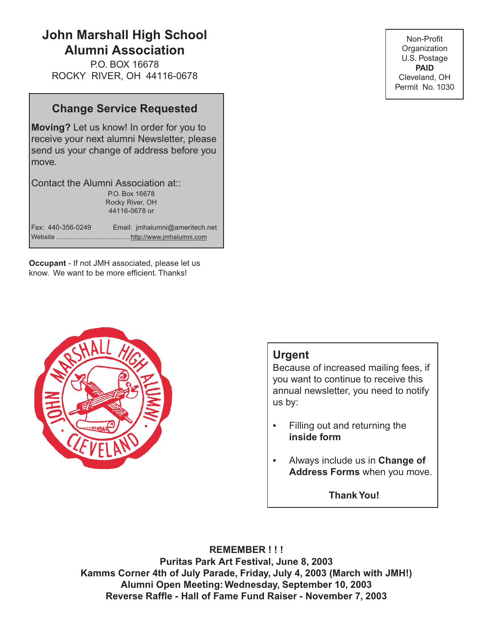# **JOHN MARSHALL HIGH SCHOOL ALUMNI NEWS John Marshall High School Alumni Association**

P.O. BOX 16678 ROCKY RIVER, OH 44116-0678

# **Change Service Requested**

**Moving?** Let us know! In order for you to receive your next alumni Newsletter, please send us your change of address before you move.

Contact the Alumni Association at:: P.O. Box 16678 Rocky River, OH 44116-0678 or

Fax: 440-356-0249 Email: jmhalumni@ameritech.net Website ......................................... http://www.jmhalumni.com

**Occupant** - If not JMH associated, please let us know. We want to be more efficient. Thanks!



## Non-Profit **Organization** U.S. Postage **PAID** Cleveland, OH Permit No. 1030

# **Urgent**

Because of increased mailing fees, if you want to continue to receive this annual newsletter, you need to notify us by:

- Filling out and returning the **inside form**
- Always include us in **Change of Address Forms** when you move.

**Thank You!**

**REMEMBER ! ! ! Puritas Park Art Festival, June 8, 2003 Kamms Corner 4th of July Parade, Friday, July 4, 2003 (March with JMH!) Alumni Open Meeting: Wednesday, September 10, 2003 Reverse Raffle - Hall of Fame Fund Raiser - November 7, 2003**